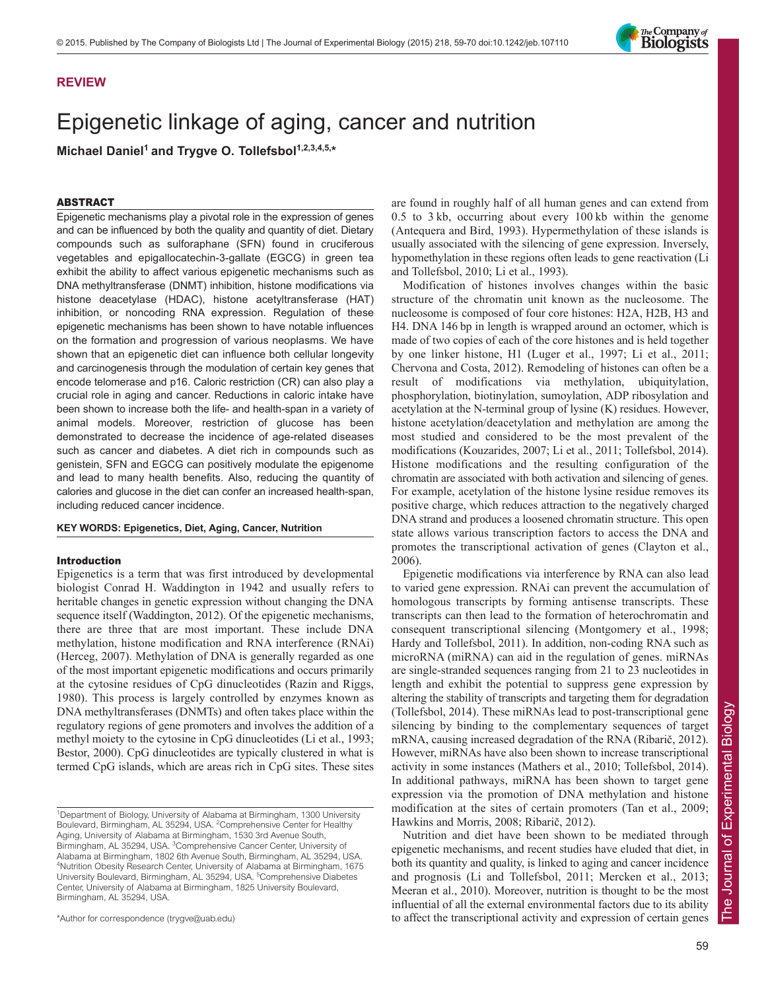# **REVIEW**



# Epigenetic linkage of aging, cancer and nutrition

Michael Daniel<sup>1</sup> and Trygve O. Tollefsbol<sup>1,2,3,4,5,\*</sup>

## ABSTRACT

Epigenetic mechanisms play a pivotal role in the expression of genes and can be influenced by both the quality and quantity of diet. Dietary compounds such as sulforaphane (SFN) found in cruciferous vegetables and epigallocatechin-3-gallate (EGCG) in green tea exhibit the ability to affect various epigenetic mechanisms such as DNA methyltransferase (DNMT) inhibition, histone modifications via histone deacetylase (HDAC), histone acetyltransferase (HAT) inhibition, or noncoding RNA expression. Regulation of these epigenetic mechanisms has been shown to have notable influences on the formation and progression of various neoplasms. We have shown that an epigenetic diet can influence both cellular longevity and carcinogenesis through the modulation of certain key genes that encode telomerase and p16. Caloric restriction (CR) can also play a crucial role in aging and cancer. Reductions in caloric intake have been shown to increase both the life- and health-span in a variety of animal models. Moreover, restriction of glucose has been demonstrated to decrease the incidence of age-related diseases such as cancer and diabetes. A diet rich in compounds such as genistein, SFN and EGCG can positively modulate the epigenome and lead to many health benefits. Also, reducing the quantity of calories and glucose in the diet can confer an increased health-span, including reduced cancer incidence.

## **KEY WORDS: Epigenetics, Diet, Aging, Cancer, Nutrition**

## Introduction

Epigenetics is a term that was first introduced by developmental biologist Conrad H. Waddington in 1942 and usually refers to heritable changes in genetic expression without changing the DNA sequence itself (Waddington, 2012). Of the epigenetic mechanisms, there are three that are most important. These include DNA methylation, histone modification and RNA interference (RNAi) (Herceg, 2007). Methylation of DNA is generally regarded as one of the most important epigenetic modifications and occurs primarily at the cytosine residues of CpG dinucleotides (Razin and Riggs, 1980). This process is largely controlled by enzymes known as DNA methyltransferases (DNMTs) and often takes place within the regulatory regions of gene promoters and involves the addition of a methyl moiety to the cytosine in CpG dinucleotides (Li et al., 1993; Bestor, 2000). CpG dinucleotides are typically clustered in what is termed CpG islands, which are areas rich in CpG sites. These sites

\*Author for correspondence (trygve@uab.edu)

are found in roughly half of all human genes and can extend from 0.5 to 3 kb, occurring about every 100 kb within the genome (Antequera and Bird, 1993). Hypermethylation of these islands is usually associated with the silencing of gene expression. Inversely, hypomethylation in these regions often leads to gene reactivation (Li and Tollefsbol, 2010; Li et al., 1993).

Modification of histones involves changes within the basic structure of the chromatin unit known as the nucleosome. The nucleosome is composed of four core histones: H2A, H2B, H3 and H4. DNA 146 bp in length is wrapped around an octomer, which is made of two copies of each of the core histones and is held together by one linker histone, H1 (Luger et al., 1997; Li et al., 2011; Chervona and Costa, 2012). Remodeling of histones can often be a result of modifications via methylation, ubiquitylation, phosphorylation, biotinylation, sumoylation, ADP ribosylation and acetylation at the N-terminal group of lysine (K) residues. However, histone acetylation/deacetylation and methylation are among the most studied and considered to be the most prevalent of the modifications (Kouzarides, 2007; Li et al., 2011; Tollefsbol, 2014). Histone modifications and the resulting configuration of the chromatin are associated with both activation and silencing of genes. For example, acetylation of the histone lysine residue removes its positive charge, which reduces attraction to the negatively charged DNA strand and produces a loosened chromatin structure. This open state allows various transcription factors to access the DNA and promotes the transcriptional activation of genes (Clayton et al., 2006).

Epigenetic modifications via interference by RNA can also lead to varied gene expression. RNAi can prevent the accumulation of homologous transcripts by forming antisense transcripts. These transcripts can then lead to the formation of heterochromatin and consequent transcriptional silencing (Montgomery et al., 1998; Hardy and Tollefsbol, 2011). In addition, non-coding RNA such as microRNA (miRNA) can aid in the regulation of genes. miRNAs are single-stranded sequences ranging from 21 to 23 nucleotides in length and exhibit the potential to suppress gene expression by altering the stability of transcripts and targeting them for degradation (Tollefsbol, 2014). These miRNAs lead to post-transcriptional gene silencing by binding to the complementary sequences of target mRNA, causing increased degradation of the RNA (Ribarič, 2012). However, miRNAs have also been shown to increase transcriptional activity in some instances (Mathers et al., 2010; Tollefsbol, 2014). In additional pathways, miRNA has been shown to target gene expression via the promotion of DNA methylation and histone modification at the sites of certain promoters (Tan et al., 2009; Hawkins and Morris, 2008; Ribarič, 2012).

Nutrition and diet have been shown to be mediated through epigenetic mechanisms, and recent studies have eluded that diet, in both its quantity and quality, is linked to aging and cancer incidence and prognosis (Li and Tollefsbol, 2011; Mercken et al., 2013; Meeran et al., 2010). Moreover, nutrition is thought to be the most influential of all the external environmental factors due to its ability to affect the transcriptional activity and expression of certain genes

<sup>&</sup>lt;sup>1</sup>Department of Biology, University of Alabama at Birmingham, 1300 University Boulevard, Birmingham, AL 35294, USA. <sup>2</sup> Comprehensive Center for Healthy Aging, University of Alabama at Birmingham, 1530 3rd Avenue South, Birmingham, AL 35294, USA. <sup>3</sup>Comprehensive Cancer Center, University of Alabama at Birmingham, 1802 6th Avenue South, Birmingham, AL 35294, USA. 4 Nutrition Obesity Research Center, University of Alabama at Birmingham, 1675 University Boulevard, Birmingham, AL 35294, USA. <sup>5</sup>Comprehensive Diabetes Center, University of Alabama at Birmingham, 1825 University Boulevard, Birmingham, AL 35294, USA.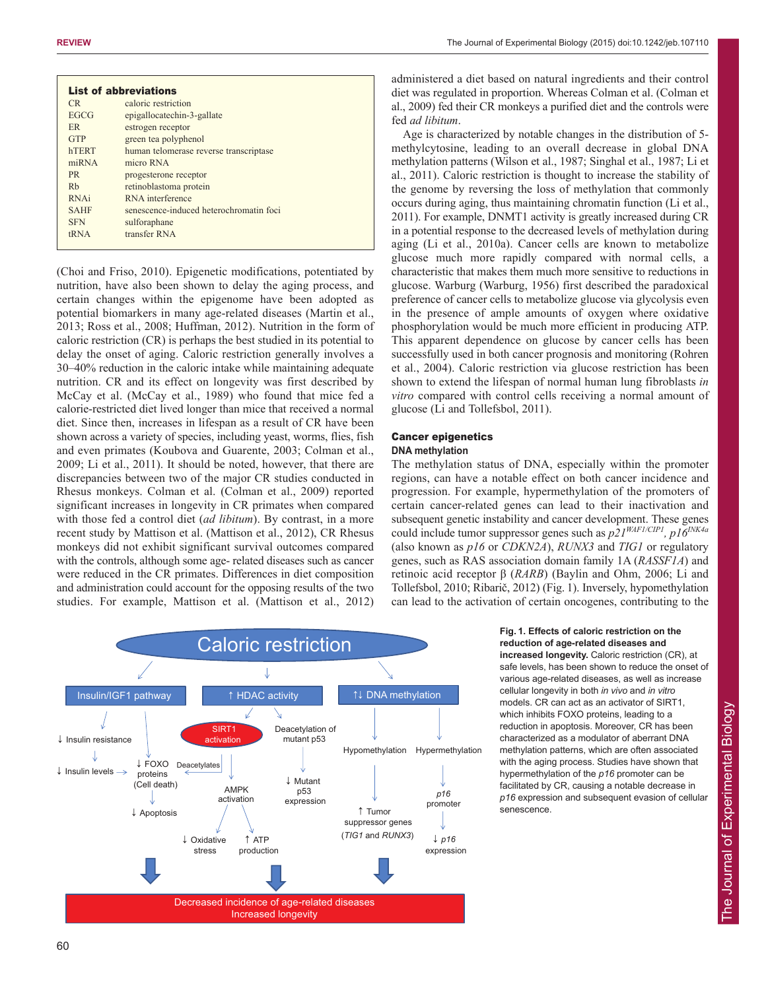| CR                   | caloric restriction                     |
|----------------------|-----------------------------------------|
| <b>EGCG</b>          | epigallocatechin-3-gallate              |
| ER.                  | estrogen receptor                       |
| <b>GTP</b>           | green tea polyphenol                    |
| <b>hTERT</b>         | human telomerase reverse transcriptase  |
| $m$ <sub>RNA</sub>   | micro RNA                               |
| PR.                  | progesterone receptor                   |
| <b>R<sub>b</sub></b> | retinoblastoma protein                  |
| <b>RNAi</b>          | RNA interference                        |
| <b>SAHF</b>          | senescence-induced heterochromatin foci |
| <b>SFN</b>           | sulforaphane                            |
| <b>tRNA</b>          | transfer RNA                            |

(Choi and Friso, 2010). Epigenetic modifications, potentiated by nutrition, have also been shown to delay the aging process, and certain changes within the epigenome have been adopted as potential biomarkers in many age-related diseases (Martin et al., 2013; Ross et al., 2008; Huffman, 2012). Nutrition in the form of caloric restriction (CR) is perhaps the best studied in its potential to delay the onset of aging. Caloric restriction generally involves a 30–40% reduction in the caloric intake while maintaining adequate nutrition. CR and its effect on longevity was first described by McCay et al. (McCay et al., 1989) who found that mice fed a calorie-restricted diet lived longer than mice that received a normal diet. Since then, increases in lifespan as a result of CR have been shown across a variety of species, including yeast, worms, flies, fish and even primates (Koubova and Guarente, 2003; Colman et al., 2009; Li et al., 2011). It should be noted, however, that there are discrepancies between two of the major CR studies conducted in Rhesus monkeys. Colman et al. (Colman et al., 2009) reported significant increases in longevity in CR primates when compared with those fed a control diet (*ad libitum*). By contrast, in a more recent study by Mattison et al. (Mattison et al., 2012), CR Rhesus monkeys did not exhibit significant survival outcomes compared with the controls, although some age- related diseases such as cancer were reduced in the CR primates. Differences in diet composition and administration could account for the opposing results of the two studies. For example, Mattison et al. (Mattison et al., 2012)



administered a diet based on natural ingredients and their control diet was regulated in proportion. Whereas Colman et al. (Colman et al., 2009) fed their CR monkeys a purified diet and the controls were fed *ad libitum*.

Age is characterized by notable changes in the distribution of 5 methylcytosine, leading to an overall decrease in global DNA methylation patterns (Wilson et al., 1987; Singhal et al., 1987; Li et al., 2011). Caloric restriction is thought to increase the stability of the genome by reversing the loss of methylation that commonly occurs during aging, thus maintaining chromatin function (Li et al., 2011). For example, DNMT1 activity is greatly increased during CR in a potential response to the decreased levels of methylation during aging (Li et al., 2010a). Cancer cells are known to metabolize glucose much more rapidly compared with normal cells, a characteristic that makes them much more sensitive to reductions in glucose. Warburg (Warburg, 1956) first described the paradoxical preference of cancer cells to metabolize glucose via glycolysis even in the presence of ample amounts of oxygen where oxidative phosphorylation would be much more efficient in producing ATP. This apparent dependence on glucose by cancer cells has been successfully used in both cancer prognosis and monitoring (Rohren et al., 2004). Caloric restriction via glucose restriction has been shown to extend the lifespan of normal human lung fibroblasts *in vitro* compared with control cells receiving a normal amount of glucose (Li and Tollefsbol, 2011).

# Cancer epigenetics

## **DNA methylation**

The methylation status of DNA, especially within the promoter regions, can have a notable effect on both cancer incidence and progression. For example, hypermethylation of the promoters of certain cancer-related genes can lead to their inactivation and subsequent genetic instability and cancer development. These genes could include tumor suppressor genes such as *p21WAF1/CIP1, p16INK4a* (also known as *p16* or *CDKN2A*), *RUNX3* and *TIG1* or regulatory genes, such as RAS association domain family 1A (*RASSF1A*) and retinoic acid receptor β (*RARB*) (Baylin and Ohm, 2006; Li and Tollefsbol, 2010; Ribarič, 2012) (Fig. 1). Inversely, hypomethylation can lead to the activation of certain oncogenes, contributing to the

# **Fig. 1. Effects of caloric restriction on the reduction of age-related diseases and**

**increased longevity.** Caloric restriction (CR), at safe levels, has been shown to reduce the onset of various age-related diseases, as well as increase cellular longevity in both *in vivo* and *in vitro* models. CR can act as an activator of SIRT1, which inhibits FOXO proteins, leading to a reduction in apoptosis. Moreover, CR has been characterized as a modulator of aberrant DNA methylation patterns, which are often associated with the aging process. Studies have shown that hypermethylation of the *p16* promoter can be facilitated by CR, causing a notable decrease in *p16* expression and subsequent evasion of cellular senescence.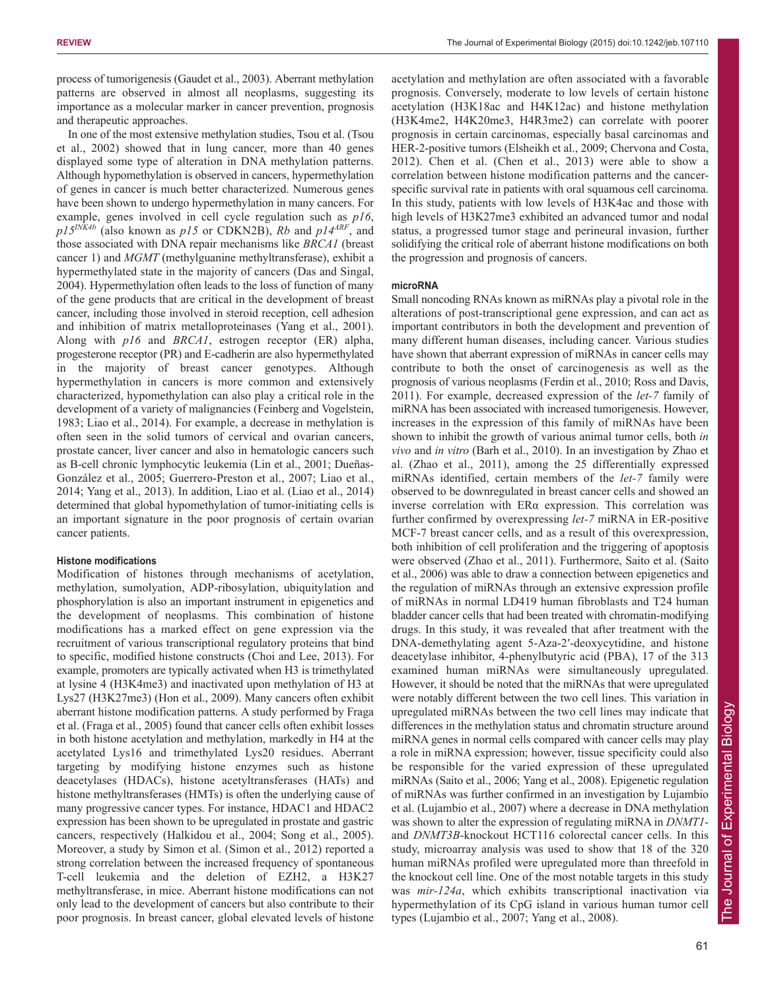process of tumorigenesis (Gaudet et al., 2003). Aberrant methylation patterns are observed in almost all neoplasms, suggesting its importance as a molecular marker in cancer prevention, prognosis and therapeutic approaches.

In one of the most extensive methylation studies, Tsou et al. (Tsou et al., 2002) showed that in lung cancer, more than 40 genes displayed some type of alteration in DNA methylation patterns. Although hypomethylation is observed in cancers, hypermethylation of genes in cancer is much better characterized. Numerous genes have been shown to undergo hypermethylation in many cancers. For example, genes involved in cell cycle regulation such as *p16*,  $p15^{I N K 4b}$  (also known as *p15* or CDKN2B), *Rb* and  $p14^{A R F}$ , and those associated with DNA repair mechanisms like *BRCA1* (breast cancer 1) and *MGMT* (methylguanine methyltransferase), exhibit a hypermethylated state in the majority of cancers (Das and Singal, 2004). Hypermethylation often leads to the loss of function of many of the gene products that are critical in the development of breast cancer, including those involved in steroid reception, cell adhesion and inhibition of matrix metalloproteinases (Yang et al., 2001). Along with *p16* and *BRCA1*, estrogen receptor (ER) alpha, progesterone receptor (PR) and E-cadherin are also hypermethylated in the majority of breast cancer genotypes. Although hypermethylation in cancers is more common and extensively characterized, hypomethylation can also play a critical role in the development of a variety of malignancies (Feinberg and Vogelstein, 1983; Liao et al., 2014). For example, a decrease in methylation is often seen in the solid tumors of cervical and ovarian cancers, prostate cancer, liver cancer and also in hematologic cancers such as B-cell chronic lymphocytic leukemia (Lin et al., 2001; Dueñas-González et al., 2005; Guerrero-Preston et al., 2007; Liao et al., 2014; Yang et al., 2013). In addition, Liao et al. (Liao et al., 2014) determined that global hypomethylation of tumor-initiating cells is an important signature in the poor prognosis of certain ovarian cancer patients.

# **Histone modifications**

Modification of histones through mechanisms of acetylation, methylation, sumolyation, ADP-ribosylation, ubiquitylation and phosphorylation is also an important instrument in epigenetics and the development of neoplasms. This combination of histone modifications has a marked effect on gene expression via the recruitment of various transcriptional regulatory proteins that bind to specific, modified histone constructs (Choi and Lee, 2013). For example, promoters are typically activated when H3 is trimethylated at lysine 4 (H3K4me3) and inactivated upon methylation of H3 at Lys27 (H3K27me3) (Hon et al., 2009). Many cancers often exhibit aberrant histone modification patterns. A study performed by Fraga et al. (Fraga et al., 2005) found that cancer cells often exhibit losses in both histone acetylation and methylation, markedly in H4 at the acetylated Lys16 and trimethylated Lys20 residues. Aberrant targeting by modifying histone enzymes such as histone deacetylases (HDACs), histone acetyltransferases (HATs) and histone methyltransferases (HMTs) is often the underlying cause of many progressive cancer types. For instance, HDAC1 and HDAC2 expression has been shown to be upregulated in prostate and gastric cancers, respectively (Halkidou et al., 2004; Song et al., 2005). Moreover, a study by Simon et al. (Simon et al., 2012) reported a strong correlation between the increased frequency of spontaneous T-cell leukemia and the deletion of EZH2, a H3K27 methyltransferase, in mice. Aberrant histone modifications can not only lead to the development of cancers but also contribute to their poor prognosis. In breast cancer, global elevated levels of histone

acetylation and methylation are often associated with a favorable prognosis. Conversely, moderate to low levels of certain histone acetylation (H3K18ac and H4K12ac) and histone methylation (H3K4me2, H4K20me3, H4R3me2) can correlate with poorer prognosis in certain carcinomas, especially basal carcinomas and HER-2-positive tumors (Elsheikh et al., 2009; Chervona and Costa, 2012). Chen et al. (Chen et al., 2013) were able to show a correlation between histone modification patterns and the cancerspecific survival rate in patients with oral squamous cell carcinoma. In this study, patients with low levels of H3K4ac and those with high levels of H3K27me3 exhibited an advanced tumor and nodal status, a progressed tumor stage and perineural invasion, further solidifying the critical role of aberrant histone modifications on both the progression and prognosis of cancers.

# **microRNA**

Small noncoding RNAs known as miRNAs play a pivotal role in the alterations of post-transcriptional gene expression, and can act as important contributors in both the development and prevention of many different human diseases, including cancer. Various studies have shown that aberrant expression of miRNAs in cancer cells may contribute to both the onset of carcinogenesis as well as the prognosis of various neoplasms (Ferdin et al., 2010; Ross and Davis, 2011). For example, decreased expression of the *let-7* family of miRNA has been associated with increased tumorigenesis. However, increases in the expression of this family of miRNAs have been shown to inhibit the growth of various animal tumor cells, both *in vivo* and *in vitro* (Barh et al., 2010). In an investigation by Zhao et al. (Zhao et al., 2011), among the 25 differentially expressed miRNAs identified, certain members of the *let-7* family were observed to be downregulated in breast cancer cells and showed an inverse correlation with ERα expression. This correlation was further confirmed by overexpressing *let-7* miRNA in ER-positive MCF-7 breast cancer cells, and as a result of this overexpression, both inhibition of cell proliferation and the triggering of apoptosis were observed (Zhao et al., 2011). Furthermore, Saito et al. (Saito et al., 2006) was able to draw a connection between epigenetics and the regulation of miRNAs through an extensive expression profile of miRNAs in normal LD419 human fibroblasts and T24 human bladder cancer cells that had been treated with chromatin-modifying drugs. In this study, it was revealed that after treatment with the DNA-demethylating agent 5-Aza-2′-deoxycytidine, and histone deacetylase inhibitor, 4-phenylbutyric acid (PBA), 17 of the 313 examined human miRNAs were simultaneously upregulated. However, it should be noted that the miRNAs that were upregulated were notably different between the two cell lines. This variation in upregulated miRNAs between the two cell lines may indicate that differences in the methylation status and chromatin structure around miRNA genes in normal cells compared with cancer cells may play a role in miRNA expression; however, tissue specificity could also be responsible for the varied expression of these upregulated miRNAs (Saito et al., 2006; Yang et al., 2008). Epigenetic regulation of miRNAs was further confirmed in an investigation by Lujambio et al. (Lujambio et al., 2007) where a decrease in DNA methylation was shown to alter the expression of regulating miRNA in *DNMT1* and *DNMT3B*-knockout HCT116 colorectal cancer cells. In this study, microarray analysis was used to show that 18 of the 320 human miRNAs profiled were upregulated more than threefold in the knockout cell line. One of the most notable targets in this study was *mir-124a*, which exhibits transcriptional inactivation via hypermethylation of its CpG island in various human tumor cell types (Lujambio et al., 2007; Yang et al., 2008).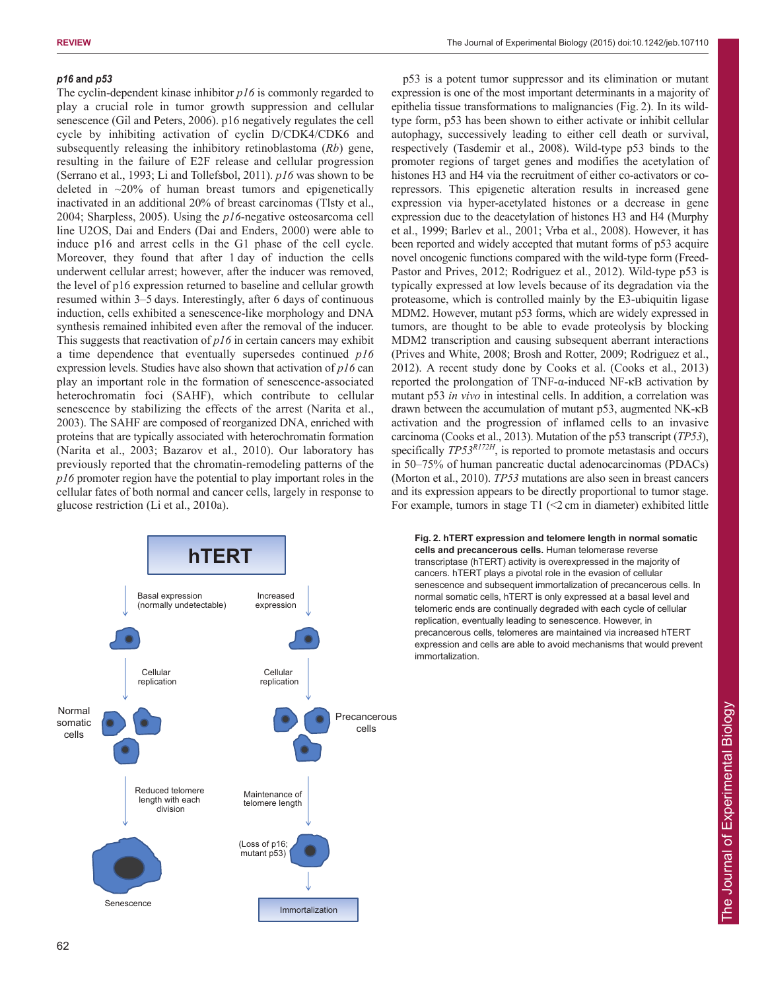## *p16* **and** *p53*

The cyclin-dependent kinase inhibitor *p16* is commonly regarded to play a crucial role in tumor growth suppression and cellular senescence (Gil and Peters, 2006). p16 negatively regulates the cell cycle by inhibiting activation of cyclin D/CDK4/CDK6 and subsequently releasing the inhibitory retinoblastoma (*Rb*) gene, resulting in the failure of E2F release and cellular progression (Serrano et al., 1993; Li and Tollefsbol, 2011). *p16* was shown to be deleted in  $\approx$ 20% of human breast tumors and epigenetically inactivated in an additional 20% of breast carcinomas (Tlsty et al., 2004; Sharpless, 2005). Using the *p16*-negative osteosarcoma cell line U2OS, Dai and Enders (Dai and Enders, 2000) were able to induce p16 and arrest cells in the G1 phase of the cell cycle. Moreover, they found that after 1 day of induction the cells underwent cellular arrest; however, after the inducer was removed, the level of p16 expression returned to baseline and cellular growth resumed within 3–5 days. Interestingly, after 6 days of continuous induction, cells exhibited a senescence-like morphology and DNA synthesis remained inhibited even after the removal of the inducer. This suggests that reactivation of *p16* in certain cancers may exhibit a time dependence that eventually supersedes continued *p16* expression levels. Studies have also shown that activation of *p16* can play an important role in the formation of senescence-associated heterochromatin foci (SAHF), which contribute to cellular senescence by stabilizing the effects of the arrest (Narita et al., 2003). The SAHF are composed of reorganized DNA, enriched with proteins that are typically associated with heterochromatin formation (Narita et al., 2003; Bazarov et al., 2010). Our laboratory has previously reported that the chromatin-remodeling patterns of the *p16* promoter region have the potential to play important roles in the cellular fates of both normal and cancer cells, largely in response to glucose restriction (Li et al., 2010a).



p53 is a potent tumor suppressor and its elimination or mutant expression is one of the most important determinants in a majority of epithelia tissue transformations to malignancies (Fig. 2). In its wildtype form, p53 has been shown to either activate or inhibit cellular autophagy, successively leading to either cell death or survival, respectively (Tasdemir et al., 2008). Wild-type p53 binds to the promoter regions of target genes and modifies the acetylation of histones H3 and H4 via the recruitment of either co-activators or corepressors. This epigenetic alteration results in increased gene expression via hyper-acetylated histones or a decrease in gene expression due to the deacetylation of histones H3 and H4 (Murphy et al., 1999; Barlev et al., 2001; Vrba et al., 2008). However, it has been reported and widely accepted that mutant forms of p53 acquire novel oncogenic functions compared with the wild-type form (Freed-Pastor and Prives, 2012; Rodriguez et al., 2012). Wild-type p53 is typically expressed at low levels because of its degradation via the proteasome, which is controlled mainly by the E3-ubiquitin ligase MDM2. However, mutant p53 forms, which are widely expressed in tumors, are thought to be able to evade proteolysis by blocking MDM2 transcription and causing subsequent aberrant interactions (Prives and White, 2008; Brosh and Rotter, 2009; Rodriguez et al., 2012). A recent study done by Cooks et al. (Cooks et al., 2013) reported the prolongation of TNF-α-induced NF-κB activation by mutant p53 *in vivo* in intestinal cells. In addition, a correlation was drawn between the accumulation of mutant p53, augmented NK-κB activation and the progression of inflamed cells to an invasive carcinoma (Cooks et al., 2013). Mutation of the p53 transcript (*TP53*), specifically *TP53<sup>R172H</sup>*, is reported to promote metastasis and occurs in 50–75% of human pancreatic ductal adenocarcinomas (PDACs) (Morton et al., 2010). *TP53* mutations are also seen in breast cancers and its expression appears to be directly proportional to tumor stage. For example, tumors in stage  $T1$  (<2 cm in diameter) exhibited little

**Fig. 2. hTERT expression and telomere length in normal somatic cells and precancerous cells.** Human telomerase reverse transcriptase (hTERT) activity is overexpressed in the majority of cancers. hTERT plays a pivotal role in the evasion of cellular senescence and subsequent immortalization of precancerous cells. In normal somatic cells, hTERT is only expressed at a basal level and telomeric ends are continually degraded with each cycle of cellular replication, eventually leading to senescence. However, in precancerous cells, telomeres are maintained via increased hTERT expression and cells are able to avoid mechanisms that would prevent immortalization.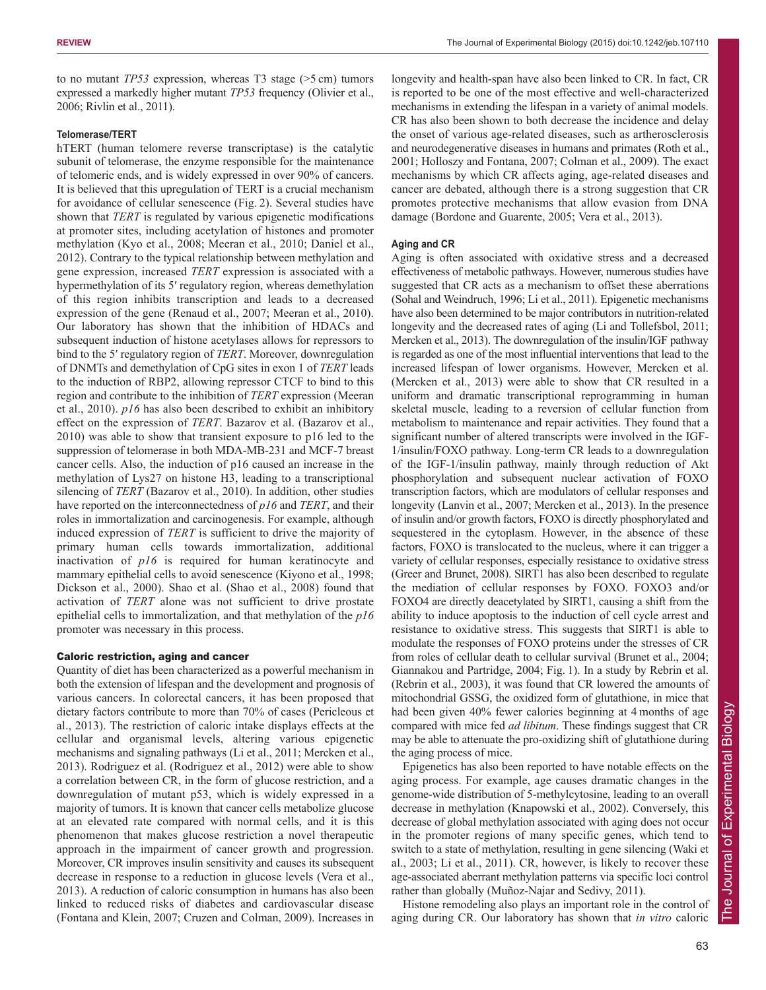to no mutant *TP53* expression, whereas T3 stage (>5 cm) tumors expressed a markedly higher mutant *TP53* frequency (Olivier et al., 2006; Rivlin et al., 2011).

## **Telomerase/TERT**

hTERT (human telomere reverse transcriptase) is the catalytic subunit of telomerase, the enzyme responsible for the maintenance of telomeric ends, and is widely expressed in over 90% of cancers. It is believed that this upregulation of TERT is a crucial mechanism for avoidance of cellular senescence (Fig. 2). Several studies have shown that *TERT* is regulated by various epigenetic modifications at promoter sites, including acetylation of histones and promoter methylation (Kyo et al., 2008; Meeran et al., 2010; Daniel et al., 2012). Contrary to the typical relationship between methylation and gene expression, increased *TERT* expression is associated with a hypermethylation of its 5′ regulatory region, whereas demethylation of this region inhibits transcription and leads to a decreased expression of the gene (Renaud et al., 2007; Meeran et al., 2010). Our laboratory has shown that the inhibition of HDACs and subsequent induction of histone acetylases allows for repressors to bind to the 5′ regulatory region of *TERT*. Moreover, downregulation of DNMTs and demethylation of CpG sites in exon 1 of *TERT* leads to the induction of RBP2, allowing repressor CTCF to bind to this region and contribute to the inhibition of *TERT* expression (Meeran et al., 2010). *p16* has also been described to exhibit an inhibitory effect on the expression of *TERT*. Bazarov et al. (Bazarov et al., 2010) was able to show that transient exposure to p16 led to the suppression of telomerase in both MDA-MB-231 and MCF-7 breast cancer cells. Also, the induction of p16 caused an increase in the methylation of Lys27 on histone H3, leading to a transcriptional silencing of *TERT* (Bazarov et al., 2010). In addition, other studies have reported on the interconnectedness of *p16* and *TERT*, and their roles in immortalization and carcinogenesis. For example, although induced expression of *TERT* is sufficient to drive the majority of primary human cells towards immortalization, additional inactivation of *p16* is required for human keratinocyte and mammary epithelial cells to avoid senescence (Kiyono et al., 1998; Dickson et al., 2000). Shao et al. (Shao et al., 2008) found that activation of *TERT* alone was not sufficient to drive prostate epithelial cells to immortalization, and that methylation of the *p16* promoter was necessary in this process.

#### Caloric restriction, aging and cancer

Quantity of diet has been characterized as a powerful mechanism in both the extension of lifespan and the development and prognosis of various cancers. In colorectal cancers, it has been proposed that dietary factors contribute to more than 70% of cases (Pericleous et al., 2013). The restriction of caloric intake displays effects at the cellular and organismal levels, altering various epigenetic mechanisms and signaling pathways (Li et al., 2011; Mercken et al., 2013). Rodriguez et al. (Rodriguez et al., 2012) were able to show a correlation between CR, in the form of glucose restriction, and a downregulation of mutant p53, which is widely expressed in a majority of tumors. It is known that cancer cells metabolize glucose at an elevated rate compared with normal cells, and it is this phenomenon that makes glucose restriction a novel therapeutic approach in the impairment of cancer growth and progression. Moreover, CR improves insulin sensitivity and causes its subsequent decrease in response to a reduction in glucose levels (Vera et al., 2013). A reduction of caloric consumption in humans has also been linked to reduced risks of diabetes and cardiovascular disease (Fontana and Klein, 2007; Cruzen and Colman, 2009). Increases in longevity and health-span have also been linked to CR. In fact, CR is reported to be one of the most effective and well-characterized mechanisms in extending the lifespan in a variety of animal models. CR has also been shown to both decrease the incidence and delay the onset of various age-related diseases, such as artherosclerosis and neurodegenerative diseases in humans and primates (Roth et al., 2001; Holloszy and Fontana, 2007; Colman et al., 2009). The exact mechanisms by which CR affects aging, age-related diseases and cancer are debated, although there is a strong suggestion that CR promotes protective mechanisms that allow evasion from DNA damage (Bordone and Guarente, 2005; Vera et al., 2013).

## **Aging and CR**

Aging is often associated with oxidative stress and a decreased effectiveness of metabolic pathways. However, numerous studies have suggested that CR acts as a mechanism to offset these aberrations (Sohal and Weindruch, 1996; Li et al., 2011). Epigenetic mechanisms have also been determined to be major contributors in nutrition-related longevity and the decreased rates of aging (Li and Tollefsbol, 2011; Mercken et al., 2013). The downregulation of the insulin/IGF pathway is regarded as one of the most influential interventions that lead to the increased lifespan of lower organisms. However, Mercken et al. (Mercken et al., 2013) were able to show that CR resulted in a uniform and dramatic transcriptional reprogramming in human skeletal muscle, leading to a reversion of cellular function from metabolism to maintenance and repair activities. They found that a significant number of altered transcripts were involved in the IGF-1/insulin/FOXO pathway. Long-term CR leads to a downregulation of the IGF-1/insulin pathway, mainly through reduction of Akt phosphorylation and subsequent nuclear activation of FOXO transcription factors, which are modulators of cellular responses and longevity (Lanvin et al., 2007; Mercken et al., 2013). In the presence of insulin and/or growth factors, FOXO is directly phosphorylated and sequestered in the cytoplasm. However, in the absence of these factors, FOXO is translocated to the nucleus, where it can trigger a variety of cellular responses, especially resistance to oxidative stress (Greer and Brunet, 2008). SIRT1 has also been described to regulate the mediation of cellular responses by FOXO. FOXO3 and/or FOXO4 are directly deacetylated by SIRT1, causing a shift from the ability to induce apoptosis to the induction of cell cycle arrest and resistance to oxidative stress. This suggests that SIRT1 is able to modulate the responses of FOXO proteins under the stresses of CR from roles of cellular death to cellular survival (Brunet et al., 2004; Giannakou and Partridge, 2004; Fig. 1). In a study by Rebrin et al. (Rebrin et al., 2003), it was found that CR lowered the amounts of mitochondrial GSSG, the oxidized form of glutathione, in mice that had been given 40% fewer calories beginning at 4 months of age compared with mice fed *ad libitum*. These findings suggest that CR may be able to attenuate the pro-oxidizing shift of glutathione during the aging process of mice.

Epigenetics has also been reported to have notable effects on the aging process. For example, age causes dramatic changes in the genome-wide distribution of 5-methylcytosine, leading to an overall decrease in methylation (Knapowski et al., 2002). Conversely, this decrease of global methylation associated with aging does not occur in the promoter regions of many specific genes, which tend to switch to a state of methylation, resulting in gene silencing (Waki et al., 2003; Li et al., 2011). CR, however, is likely to recover these age-associated aberrant methylation patterns via specific loci control rather than globally (Muñoz-Najar and Sedivy, 2011).

Histone remodeling also plays an important role in the control of aging during CR. Our laboratory has shown that *in vitro* caloric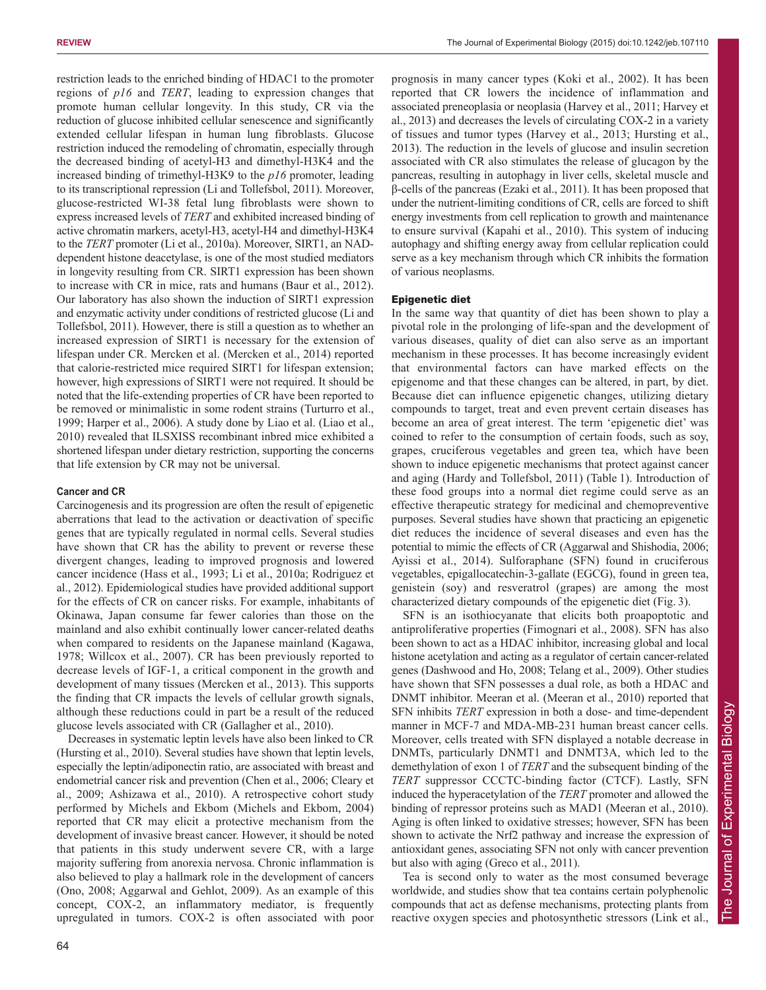restriction leads to the enriched binding of HDAC1 to the promoter regions of *p16* and *TERT*, leading to expression changes that promote human cellular longevity. In this study, CR via the reduction of glucose inhibited cellular senescence and significantly extended cellular lifespan in human lung fibroblasts. Glucose restriction induced the remodeling of chromatin, especially through the decreased binding of acetyl-H3 and dimethyl-H3K4 and the increased binding of trimethyl-H3K9 to the *p16* promoter, leading to its transcriptional repression (Li and Tollefsbol, 2011). Moreover, glucose-restricted WI-38 fetal lung fibroblasts were shown to express increased levels of *TERT* and exhibited increased binding of active chromatin markers, acetyl-H3, acetyl-H4 and dimethyl-H3K4 to the *TERT* promoter (Li et al., 2010a). Moreover, SIRT1, an NADdependent histone deacetylase, is one of the most studied mediators in longevity resulting from CR. SIRT1 expression has been shown to increase with CR in mice, rats and humans (Baur et al., 2012). Our laboratory has also shown the induction of SIRT1 expression and enzymatic activity under conditions of restricted glucose (Li and Tollefsbol, 2011). However, there is still a question as to whether an increased expression of SIRT1 is necessary for the extension of lifespan under CR. Mercken et al. (Mercken et al., 2014) reported that calorie-restricted mice required SIRT1 for lifespan extension; however, high expressions of SIRT1 were not required. It should be noted that the life-extending properties of CR have been reported to be removed or minimalistic in some rodent strains (Turturro et al., 1999; Harper et al., 2006). A study done by Liao et al. (Liao et al., 2010) revealed that ILSXISS recombinant inbred mice exhibited a shortened lifespan under dietary restriction, supporting the concerns that life extension by CR may not be universal.

# **Cancer and CR**

Carcinogenesis and its progression are often the result of epigenetic aberrations that lead to the activation or deactivation of specific genes that are typically regulated in normal cells. Several studies have shown that CR has the ability to prevent or reverse these divergent changes, leading to improved prognosis and lowered cancer incidence (Hass et al., 1993; Li et al., 2010a; Rodriguez et al., 2012). Epidemiological studies have provided additional support for the effects of CR on cancer risks. For example, inhabitants of Okinawa, Japan consume far fewer calories than those on the mainland and also exhibit continually lower cancer-related deaths when compared to residents on the Japanese mainland (Kagawa, 1978; Willcox et al., 2007). CR has been previously reported to decrease levels of IGF-1, a critical component in the growth and development of many tissues (Mercken et al., 2013). This supports the finding that CR impacts the levels of cellular growth signals, although these reductions could in part be a result of the reduced glucose levels associated with CR (Gallagher et al., 2010).

Decreases in systematic leptin levels have also been linked to CR (Hursting et al., 2010). Several studies have shown that leptin levels, especially the leptin/adiponectin ratio, are associated with breast and endometrial cancer risk and prevention (Chen et al., 2006; Cleary et al., 2009; Ashizawa et al., 2010). A retrospective cohort study performed by Michels and Ekbom (Michels and Ekbom, 2004) reported that CR may elicit a protective mechanism from the development of invasive breast cancer. However, it should be noted that patients in this study underwent severe CR, with a large majority suffering from anorexia nervosa. Chronic inflammation is also believed to play a hallmark role in the development of cancers (Ono, 2008; Aggarwal and Gehlot, 2009). As an example of this concept, COX-2, an inflammatory mediator, is frequently upregulated in tumors. COX-2 is often associated with poor prognosis in many cancer types (Koki et al., 2002). It has been reported that CR lowers the incidence of inflammation and associated preneoplasia or neoplasia (Harvey et al., 2011; Harvey et al., 2013) and decreases the levels of circulating COX-2 in a variety of tissues and tumor types (Harvey et al., 2013; Hursting et al., 2013). The reduction in the levels of glucose and insulin secretion associated with CR also stimulates the release of glucagon by the pancreas, resulting in autophagy in liver cells, skeletal muscle and β-cells of the pancreas (Ezaki et al., 2011). It has been proposed that under the nutrient-limiting conditions of CR, cells are forced to shift energy investments from cell replication to growth and maintenance to ensure survival (Kapahi et al., 2010). This system of inducing autophagy and shifting energy away from cellular replication could serve as a key mechanism through which CR inhibits the formation of various neoplasms.

# Epigenetic diet

In the same way that quantity of diet has been shown to play a pivotal role in the prolonging of life-span and the development of various diseases, quality of diet can also serve as an important mechanism in these processes. It has become increasingly evident that environmental factors can have marked effects on the epigenome and that these changes can be altered, in part, by diet. Because diet can influence epigenetic changes, utilizing dietary compounds to target, treat and even prevent certain diseases has become an area of great interest. The term 'epigenetic diet' was coined to refer to the consumption of certain foods, such as soy, grapes, cruciferous vegetables and green tea, which have been shown to induce epigenetic mechanisms that protect against cancer and aging (Hardy and Tollefsbol, 2011) (Table 1). Introduction of these food groups into a normal diet regime could serve as an effective therapeutic strategy for medicinal and chemopreventive purposes. Several studies have shown that practicing an epigenetic diet reduces the incidence of several diseases and even has the potential to mimic the effects of CR (Aggarwal and Shishodia, 2006; Ayissi et al., 2014). Sulforaphane (SFN) found in cruciferous vegetables, epigallocatechin-3-gallate (EGCG), found in green tea, genistein (soy) and resveratrol (grapes) are among the most characterized dietary compounds of the epigenetic diet (Fig. 3).

SFN is an isothiocyanate that elicits both proapoptotic and antiproliferative properties (Fimognari et al., 2008). SFN has also been shown to act as a HDAC inhibitor, increasing global and local histone acetylation and acting as a regulator of certain cancer-related genes (Dashwood and Ho, 2008; Telang et al., 2009). Other studies have shown that SFN possesses a dual role, as both a HDAC and DNMT inhibitor. Meeran et al. (Meeran et al., 2010) reported that SFN inhibits *TERT* expression in both a dose- and time-dependent manner in MCF-7 and MDA-MB-231 human breast cancer cells. Moreover, cells treated with SFN displayed a notable decrease in DNMTs, particularly DNMT1 and DNMT3A, which led to the demethylation of exon 1 of *TERT* and the subsequent binding of the *TERT* suppressor CCCTC-binding factor (CTCF). Lastly, SFN induced the hyperacetylation of the *TERT* promoter and allowed the binding of repressor proteins such as MAD1 (Meeran et al., 2010). Aging is often linked to oxidative stresses; however, SFN has been shown to activate the Nrf2 pathway and increase the expression of antioxidant genes, associating SFN not only with cancer prevention but also with aging (Greco et al., 2011).

Tea is second only to water as the most consumed beverage worldwide, and studies show that tea contains certain polyphenolic compounds that act as defense mechanisms, protecting plants from reactive oxygen species and photosynthetic stressors (Link et al.,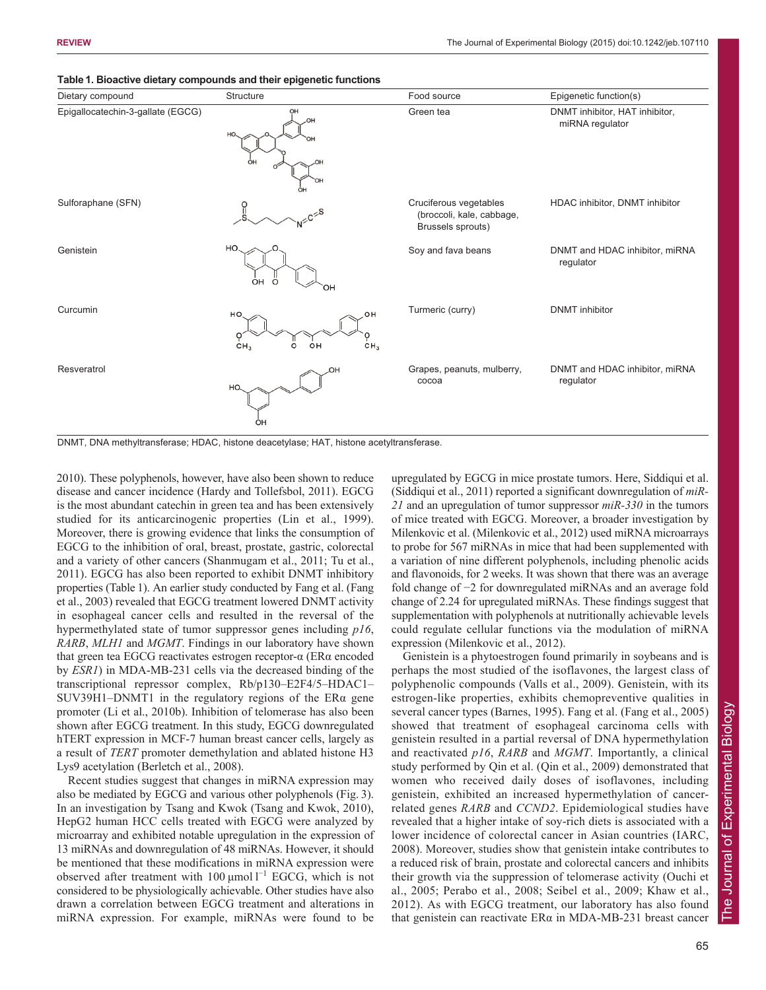| Dietary compound                  | Structure                                                  | Food source                                                              | Epigenetic function(s)                            |
|-----------------------------------|------------------------------------------------------------|--------------------------------------------------------------------------|---------------------------------------------------|
| Epigallocatechin-3-gallate (EGCG) | OН<br>HO.<br>ÔH                                            | Green tea                                                                | DNMT inhibitor, HAT inhibitor,<br>miRNA regulator |
| Sulforaphane (SFN)                |                                                            | Cruciferous vegetables<br>(broccoli, kale, cabbage,<br>Brussels sprouts) | HDAC inhibitor, DNMT inhibitor                    |
| Genistein                         | HO<br>ÒН<br>$\circ$<br>OН                                  | Soy and fava beans                                                       | DNMT and HDAC inhibitor, miRNA<br>regulator       |
| Curcumin                          | OH<br>HO.<br>CH <sub>3</sub><br>CH <sub>3</sub><br>o<br>OH | Turmeric (curry)                                                         | <b>DNMT</b> inhibitor                             |
| Resveratrol                       | HO.<br>ÒН                                                  | Grapes, peanuts, mulberry,<br>cocoa                                      | DNMT and HDAC inhibitor, miRNA<br>regulator       |

#### **Table 1. Bioactive dietary compounds and their epigenetic functions**

DNMT, DNA methyltransferase; HDAC, histone deacetylase; HAT, histone acetyltransferase.

2010). These polyphenols, however, have also been shown to reduce disease and cancer incidence (Hardy and Tollefsbol, 2011). EGCG is the most abundant catechin in green tea and has been extensively studied for its anticarcinogenic properties (Lin et al., 1999). Moreover, there is growing evidence that links the consumption of EGCG to the inhibition of oral, breast, prostate, gastric, colorectal and a variety of other cancers (Shanmugam et al., 2011; Tu et al., 2011). EGCG has also been reported to exhibit DNMT inhibitory properties (Table 1). An earlier study conducted by Fang et al. (Fang et al., 2003) revealed that EGCG treatment lowered DNMT activity in esophageal cancer cells and resulted in the reversal of the hypermethylated state of tumor suppressor genes including *p16*, *RARB*, *MLH1* and *MGMT*. Findings in our laboratory have shown that green tea EGCG reactivates estrogen receptor-α (ERα encoded by *ESR1*) in MDA-MB-231 cells via the decreased binding of the transcriptional repressor complex, Rb/p130–E2F4/5–HDAC1– SUV39H1–DNMT1 in the regulatory regions of the ERα gene promoter (Li et al., 2010b). Inhibition of telomerase has also been shown after EGCG treatment. In this study, EGCG downregulated hTERT expression in MCF-7 human breast cancer cells, largely as a result of *TERT* promoter demethylation and ablated histone H3 Lys9 acetylation (Berletch et al., 2008).

Recent studies suggest that changes in miRNA expression may also be mediated by EGCG and various other polyphenols (Fig. 3). In an investigation by Tsang and Kwok (Tsang and Kwok, 2010), HepG2 human HCC cells treated with EGCG were analyzed by microarray and exhibited notable upregulation in the expression of 13 miRNAs and downregulation of 48 miRNAs. However, it should be mentioned that these modifications in miRNA expression were observed after treatment with 100  $\mu$ mol l<sup>-1</sup> EGCG, which is not considered to be physiologically achievable. Other studies have also drawn a correlation between EGCG treatment and alterations in miRNA expression. For example, miRNAs were found to be

upregulated by EGCG in mice prostate tumors. Here, Siddiqui et al. (Siddiqui et al., 2011) reported a significant downregulation of *miR-21* and an upregulation of tumor suppressor *miR-330* in the tumors of mice treated with EGCG. Moreover, a broader investigation by Milenkovic et al. (Milenkovic et al., 2012) used miRNA microarrays to probe for 567 miRNAs in mice that had been supplemented with a variation of nine different polyphenols, including phenolic acids and flavonoids, for 2 weeks. It was shown that there was an average fold change of −2 for downregulated miRNAs and an average fold change of 2.24 for upregulated miRNAs. These findings suggest that supplementation with polyphenols at nutritionally achievable levels could regulate cellular functions via the modulation of miRNA expression (Milenkovic et al., 2012).

Genistein is a phytoestrogen found primarily in soybeans and is perhaps the most studied of the isoflavones, the largest class of polyphenolic compounds (Valls et al., 2009). Genistein, with its estrogen-like properties, exhibits chemopreventive qualities in several cancer types (Barnes, 1995). Fang et al. (Fang et al., 2005) showed that treatment of esophageal carcinoma cells with genistein resulted in a partial reversal of DNA hypermethylation and reactivated *p16*, *RARB* and *MGMT*. Importantly, a clinical study performed by Qin et al. (Qin et al., 2009) demonstrated that women who received daily doses of isoflavones, including genistein, exhibited an increased hypermethylation of cancerrelated genes *RARB* and *CCND2*. Epidemiological studies have revealed that a higher intake of soy-rich diets is associated with a lower incidence of colorectal cancer in Asian countries (IARC, 2008). Moreover, studies show that genistein intake contributes to a reduced risk of brain, prostate and colorectal cancers and inhibits their growth via the suppression of telomerase activity (Ouchi et al., 2005; Perabo et al., 2008; Seibel et al., 2009; Khaw et al., 2012). As with EGCG treatment, our laboratory has also found that genistein can reactivate ERα in MDA-MB-231 breast cancer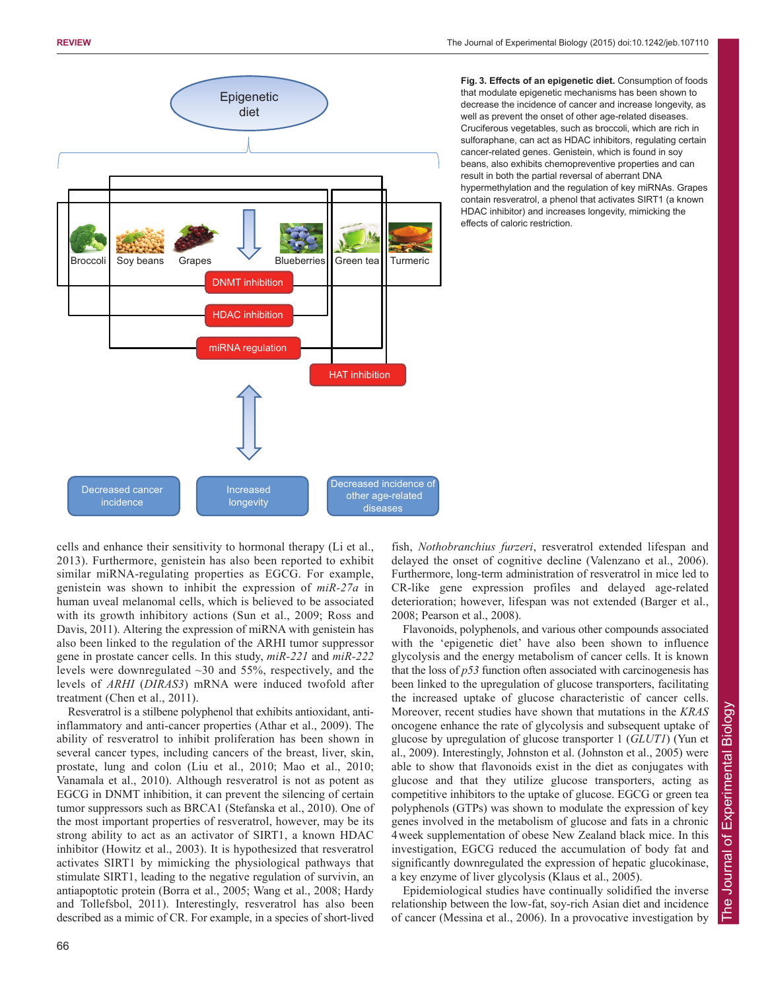



**Fig. 3. Effects of an epigenetic diet.** Consumption of foods that modulate epigenetic mechanisms has been shown to decrease the incidence of cancer and increase longevity, as well as prevent the onset of other age-related diseases. Cruciferous vegetables, such as broccoli, which are rich in sulforaphane, can act as HDAC inhibitors, regulating certain cancer-related genes. Genistein, which is found in soy beans, also exhibits chemopreventive properties and can result in both the partial reversal of aberrant DNA hypermethylation and the regulation of key miRNAs. Grapes contain resveratrol, a phenol that activates SIRT1 (a known HDAC inhibitor) and increases longevity, mimicking the effects of caloric restriction.

cells and enhance their sensitivity to hormonal therapy (Li et al., 2013). Furthermore, genistein has also been reported to exhibit similar miRNA-regulating properties as EGCG. For example, genistein was shown to inhibit the expression of *miR-27a* in human uveal melanomal cells, which is believed to be associated with its growth inhibitory actions (Sun et al., 2009; Ross and Davis, 2011). Altering the expression of miRNA with genistein has also been linked to the regulation of the ARHI tumor suppressor gene in prostate cancer cells. In this study, *miR-221* and *miR-222* levels were downregulated  $\sim$ 30 and 55%, respectively, and the levels of *ARHI* (*DIRAS3*) mRNA were induced twofold after treatment (Chen et al., 2011).

Resveratrol is a stilbene polyphenol that exhibits antioxidant, antiinflammatory and anti-cancer properties (Athar et al., 2009). The ability of resveratrol to inhibit proliferation has been shown in several cancer types, including cancers of the breast, liver, skin, prostate, lung and colon (Liu et al., 2010; Mao et al., 2010; Vanamala et al., 2010). Although resveratrol is not as potent as EGCG in DNMT inhibition, it can prevent the silencing of certain tumor suppressors such as BRCA1 (Stefanska et al., 2010). One of the most important properties of resveratrol, however, may be its strong ability to act as an activator of SIRT1, a known HDAC inhibitor (Howitz et al., 2003). It is hypothesized that resveratrol activates SIRT1 by mimicking the physiological pathways that stimulate SIRT1, leading to the negative regulation of survivin, an antiapoptotic protein (Borra et al., 2005; Wang et al., 2008; Hardy and Tollefsbol, 2011). Interestingly, resveratrol has also been described as a mimic of CR. For example, in a species of short-lived

fish, *Nothobranchius furzeri*, resveratrol extended lifespan and delayed the onset of cognitive decline (Valenzano et al., 2006). Furthermore, long-term administration of resveratrol in mice led to CR-like gene expression profiles and delayed age-related deterioration; however, lifespan was not extended (Barger et al., 2008; Pearson et al., 2008).

Flavonoids, polyphenols, and various other compounds associated with the 'epigenetic diet' have also been shown to influence glycolysis and the energy metabolism of cancer cells. It is known that the loss of *p53* function often associated with carcinogenesis has been linked to the upregulation of glucose transporters, facilitating the increased uptake of glucose characteristic of cancer cells. Moreover, recent studies have shown that mutations in the *KRAS* oncogene enhance the rate of glycolysis and subsequent uptake of glucose by upregulation of glucose transporter 1 (*GLUT1*) (Yun et al., 2009). Interestingly, Johnston et al. (Johnston et al., 2005) were able to show that flavonoids exist in the diet as conjugates with glucose and that they utilize glucose transporters, acting as competitive inhibitors to the uptake of glucose. EGCG or green tea polyphenols (GTPs) was shown to modulate the expression of key genes involved in the metabolism of glucose and fats in a chronic 4week supplementation of obese New Zealand black mice. In this investigation, EGCG reduced the accumulation of body fat and significantly downregulated the expression of hepatic glucokinase, a key enzyme of liver glycolysis (Klaus et al., 2005).

Epidemiological studies have continually solidified the inverse relationship between the low-fat, soy-rich Asian diet and incidence of cancer (Messina et al., 2006). In a provocative investigation by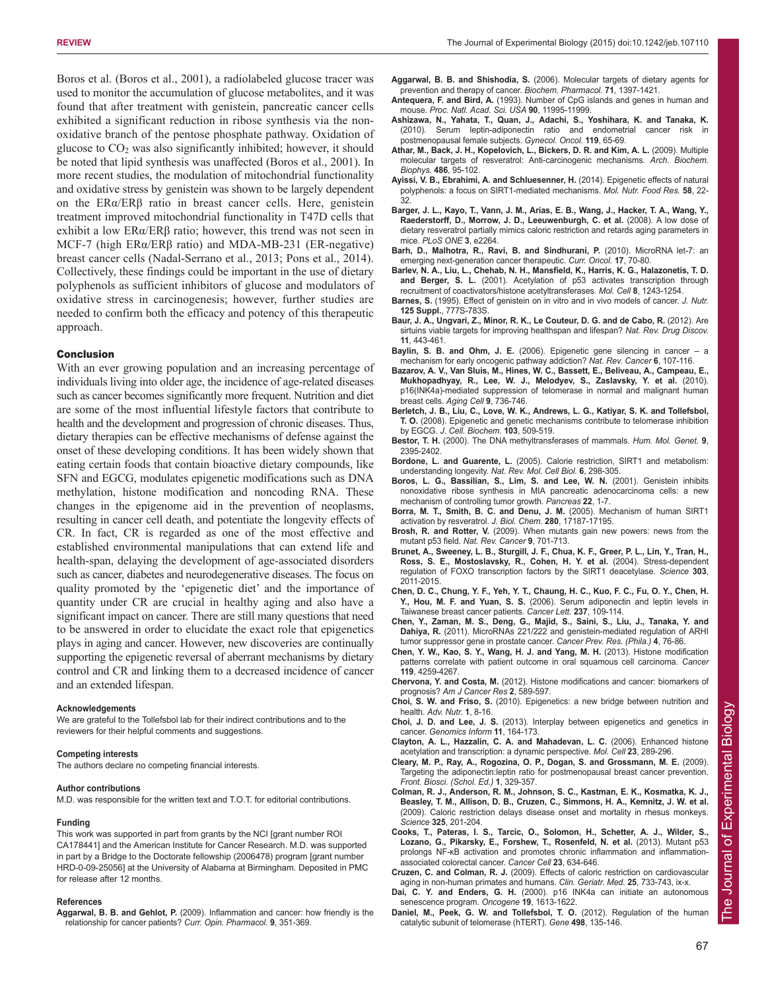Boros et al. (Boros et al., 2001), a radiolabeled glucose tracer was used to monitor the accumulation of glucose metabolites, and it was found that after treatment with genistein, pancreatic cancer cells exhibited a significant reduction in ribose synthesis via the nonoxidative branch of the pentose phosphate pathway. Oxidation of glucose to  $CO<sub>2</sub>$  was also significantly inhibited; however, it should be noted that lipid synthesis was unaffected (Boros et al., 2001). In more recent studies, the modulation of mitochondrial functionality and oxidative stress by genistein was shown to be largely dependent on the ERα/ERβ ratio in breast cancer cells. Here, genistein treatment improved mitochondrial functionality in T47D cells that exhibit a low ERα/ERβ ratio; however, this trend was not seen in MCF-7 (high ERα/ERβ ratio) and MDA-MB-231 (ER-negative) breast cancer cells (Nadal-Serrano et al., 2013; Pons et al., 2014). Collectively, these findings could be important in the use of dietary polyphenols as sufficient inhibitors of glucose and modulators of oxidative stress in carcinogenesis; however, further studies are needed to confirm both the efficacy and potency of this therapeutic approach.

#### Conclusion

With an ever growing population and an increasing percentage of individuals living into older age, the incidence of age-related diseases such as cancer becomes significantly more frequent. Nutrition and diet are some of the most influential lifestyle factors that contribute to health and the development and progression of chronic diseases. Thus, dietary therapies can be effective mechanisms of defense against the onset of these developing conditions. It has been widely shown that eating certain foods that contain bioactive dietary compounds, like SFN and EGCG, modulates epigenetic modifications such as DNA methylation, histone modification and noncoding RNA. These changes in the epigenome aid in the prevention of neoplasms, resulting in cancer cell death, and potentiate the longevity effects of CR. In fact, CR is regarded as one of the most effective and established environmental manipulations that can extend life and health-span, delaying the development of age-associated disorders such as cancer, diabetes and neurodegenerative diseases. The focus on quality promoted by the 'epigenetic diet' and the importance of quantity under CR are crucial in healthy aging and also have a significant impact on cancer. There are still many questions that need to be answered in order to elucidate the exact role that epigenetics plays in aging and cancer. However, new discoveries are continually supporting the epigenetic reversal of aberrant mechanisms by dietary control and CR and linking them to a decreased incidence of cancer and an extended lifespan.

#### **Acknowledgements**

We are grateful to the Tollefsbol lab for their indirect contributions and to the reviewers for their helpful comments and suggestions.

#### **Competing interests**

The authors declare no competing financial interests.

#### **Author contributions**

M.D. was responsible for the written text and T.O.T. for editorial contributions.

#### **Funding**

This work was supported in part from grants by the NCI [grant number ROI CA178441] and the American Institute for Cancer Research. M.D. was supported in part by a Bridge to the Doctorate fellowship (2006478) program [grant number HRD-0-09-25056] at the University of Alabama at Birmingham. Deposited in PMC for release after 12 months.

#### **References**

**Aggarwal, B. B. and Gehlot, P.** (2009). Inflammation and cancer: how friendly is the relationship for cancer patients? *Curr. Opin. Pharmacol.* **9**, 351-369.

**Aggarwal, B. B. and Shishodia, S.** (2006). Molecular targets of dietary agents for

- prevention and therapy of cancer. *Biochem. Pharmacol.* **71**, 1397-1421. **Antequera, F. and Bird, A.** (1993). Number of CpG islands and genes in human and mouse. *Proc. Natl. Acad. Sci. USA* **90**, 11995-11999.
- **Ashizawa, N., Yahata, T., Quan, J., Adachi, S., Yoshihara, K. and Tanaka, K.** (2010). Serum leptin-adiponectin ratio and endometrial cancer risk in postmenopausal female subjects. *Gynecol. Oncol.* **119**, 65-69.
- **Athar, M., Back, J. H., Kopelovich, L., Bickers, D. R. and Kim, A. L.** (2009). Multiple molecular targets of resveratrol: Anti-carcinogenic mechanisms. *Arch. Biochem. Biophys.* **486**, 95-102.
- **Ayissi, V. B., Ebrahimi, A. and Schluesenner, H.** (2014). Epigenetic effects of natural polyphenols: a focus on SIRT1-mediated mechanisms. *Mol. Nutr. Food Res.* **58**, 22- 32.
- **Barger, J. L., Kayo, T., Vann, J. M., Arias, E. B., Wang, J., Hacker, T. A., Wang, Y., Raederstorff, D., Morrow, J. D., Leeuwenburgh, C. et al.** (2008). A low dose of dietary resveratrol partially mimics caloric restriction and retards aging parameters in mice. *PLoS ONE* **3**, e2264.
- **Barh, D., Malhotra, R., Ravi, B. and Sindhurani, P.** (2010). MicroRNA let-7: an emerging next-generation cancer therapeutic. *Curr. Oncol.* **17**, 70-80.
- **Barlev, N. A., Liu, L., Chehab, N. H., Mansfield, K., Harris, K. G., Halazonetis, T. D. and Berger, S. L.** (2001). Acetylation of p53 activates transcription through recruitment of coactivators/histone acetyltransferases. *Mol. Cell* **8**, 1243-1254.
- **Barnes, S.** (1995). Effect of genistein on in vitro and in vivo models of cancer. *J. Nutr.* **125 Suppl.**, 777S-783S.
- **Baur, J. A., Ungvari, Z., Minor, R. K., Le Couteur, D. G. and de Cabo, R.** (2012). Are sirtuins viable targets for improving healthspan and lifespan? *Nat. Rev. Drug Discov.* **11**, 443-461.
- **Baylin, S. B. and Ohm, J. E.** (2006). Epigenetic gene silencing in cancer a mechanism for early oncogenic pathway addiction? *Nat. Rev. Cancer* **6**, 107-116.
- **Bazarov, A. V., Van Sluis, M., Hines, W. C., Bassett, E., Beliveau, A., Campeau, E., Mukhopadhyay, R., Lee, W. J., Melodyev, S., Zaslavsky, Y. et al.** (2010). p16(INK4a)-mediated suppression of telomerase in normal and malignant human breast cells. *Aging Cell* **9**, 736-746.
- **Berletch, J. B., Liu, C., Love, W. K., Andrews, L. G., Katiyar, S. K. and Tollefsbol, T. O.** (2008). Epigenetic and genetic mechanisms contribute to telomerase inhibition by EGCG. *J. Cell. Biochem.* **103**, 509-519.
- **Bestor, T. H.** (2000). The DNA methyltransferases of mammals. *Hum. Mol. Genet.* **9**, 2395-2402.
- **Bordone, L. and Guarente, L.** (2005). Calorie restriction, SIRT1 and metabolism: understanding longevity. *Nat. Rev. Mol. Cell Biol.* **6**, 298-305.
- **Boros, L. G., Bassilian, S., Lim, S. and Lee, W. N.** (2001). Genistein inhibits nonoxidative ribose synthesis in MIA pancreatic adenocarcinoma cells: a new mechanism of controlling tumor growth. *Pancreas* **22**, 1-7.
- **Borra, M. T., Smith, B. C. and Denu, J. M.** (2005). Mechanism of human SIRT1 activation by resveratrol. *J. Biol. Chem.* **280**, 17187-17195.
- **Brosh, R. and Rotter, V.** (2009). When mutants gain new powers: news from the mutant p53 field. *Nat. Rev. Cancer* **9**, 701-713.
- **Brunet, A., Sweeney, L. B., Sturgill, J. F., Chua, K. F., Greer, P. L., Lin, Y., Tran, H., Ross, S. E., Mostoslavsky, R., Cohen, H. Y. et al.** (2004). Stress-dependent regulation of FOXO transcription factors by the SIRT1 deacetylase. *Science* **303**, 2011-2015.
- **Chen, D. C., Chung, Y. F., Yeh, Y. T., Chaung, H. C., Kuo, F. C., Fu, O. Y., Chen, H. Y., Hou, M. F. and Yuan, S. S.** (2006). Serum adiponectin and leptin levels in Taiwanese breast cancer patients. *Cancer Lett.* **237**, 109-114.
- **Chen, Y., Zaman, M. S., Deng, G., Majid, S., Saini, S., Liu, J., Tanaka, Y. and Dahiya, R.** (2011). MicroRNAs 221/222 and genistein-mediated regulation of ARHI tumor suppressor gene in prostate cancer. *Cancer Prev. Res. (Phila.)* **4**, 76-86.
- **Chen, Y. W., Kao, S. Y., Wang, H. J. and Yang, M. H.** (2013). Histone modification patterns correlate with patient outcome in oral squamous cell carcinoma. *Cancer* **119**, 4259-4267.
- **Chervona, Y. and Costa, M.** (2012). Histone modifications and cancer: biomarkers of prognosis? *Am J Cancer Res* **2**, 589-597.
- **Choi, S. W. and Friso, S.** (2010). Epigenetics: a new bridge between nutrition and health. *Adv. Nutr.* **1**, 8-16.
- **Choi, J. D. and Lee, J. S.** (2013). Interplay between epigenetics and genetics in cancer. *Genomics Inform* **11**, 164-173.
- **Clayton, A. L., Hazzalin, C. A. and Mahadevan, L. C.** (2006). Enhanced histone acetylation and transcription: a dynamic perspective. *Mol. Cell* **23**, 289-296.
- **Cleary, M. P., Ray, A., Rogozina, O. P., Dogan, S. and Grossmann, M. E.** (2009). Targeting the adiponectin:leptin ratio for postmenopausal breast cancer prevention. *Front. Biosci. (Schol. Ed.)* **1**, 329-357.
- **Colman, R. J., Anderson, R. M., Johnson, S. C., Kastman, E. K., Kosmatka, K. J., Beasley, T. M., Allison, D. B., Cruzen, C., Simmons, H. A., Kemnitz, J. W. et al.** (2009). Caloric restriction delays disease onset and mortality in rhesus monkeys. *Science* **325**, 201-204.
- **Cooks, T., Pateras, I. S., Tarcic, O., Solomon, H., Schetter, A. J., Wilder, S., Lozano, G., Pikarsky, E., Forshew, T., Rosenfeld, N. et al.** (2013). Mutant p53 prolongs NF-κB activation and promotes chronic inflammation and inflammationassociated colorectal cancer. *Cancer Cell* **23**, 634-646.
- **Cruzen, C. and Colman, R. J.** (2009). Effects of caloric restriction on cardiovascular aging in non-human primates and humans. *Clin. Geriatr. Med.* **25**, 733-743, ix-x.
- **Dai, C. Y. and Enders, G. H.** (2000). p16 INK4a can initiate an autonomous senescence program. *Oncogene* **19**, 1613-1622.
- **Daniel, M., Peek, G. W. and Tollefsbol, T. O.** (2012). Regulation of the human catalytic subunit of telomerase (hTERT). *Gene* **498**, 135-146.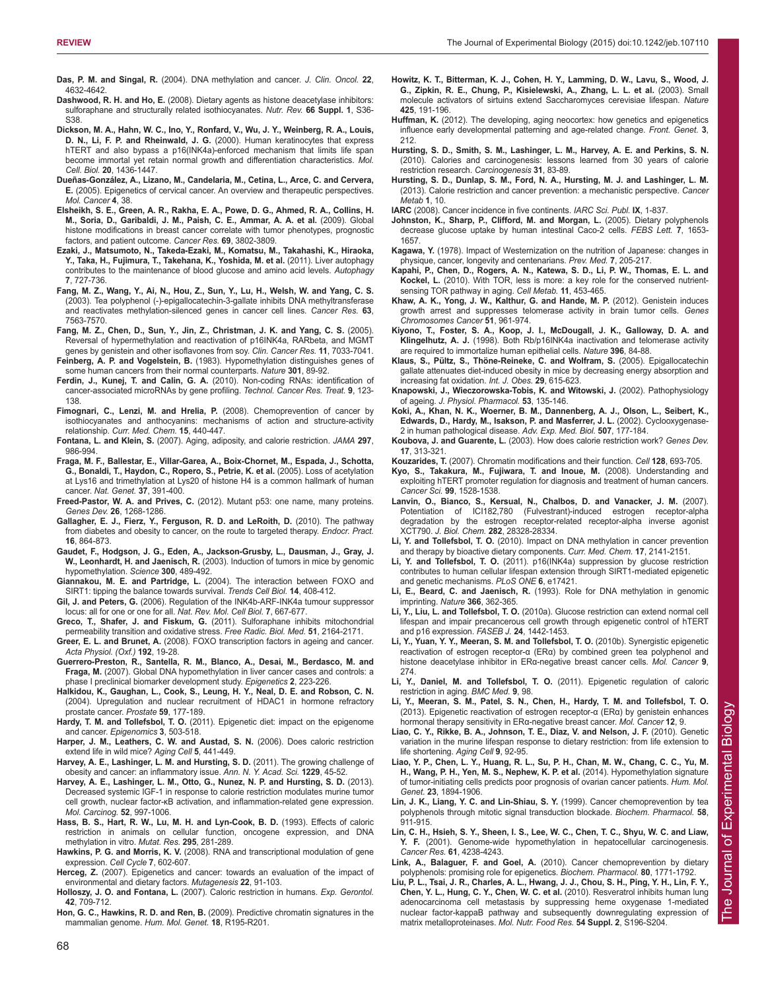**Das, P. M. and Singal, R.** (2004). DNA methylation and cancer. *J. Clin. Oncol.* **22**, 4632-4642.

- **Dashwood, R. H. and Ho, E.** (2008). Dietary agents as histone deacetylase inhibitors: sulforaphane and structurally related isothiocyanates. *Nutr. Rev.* **66 Suppl. 1**, S36- S38.
- **Dickson, M. A., Hahn, W. C., Ino, Y., Ronfard, V., Wu, J. Y., Weinberg, R. A., Louis, D. N., Li, F. P. and Rheinwald, J. G.** (2000). Human keratinocytes that express hTERT and also bypass a p16(INK4a)-enforced mechanism that limits life span become immortal yet retain normal growth and differentiation characteristics. *Mol. Cell. Biol.* **20**, 1436-1447.
- **Dueñas-González, A., Lizano, M., Candelaria, M., Cetina, L., Arce, C. and Cervera, E.** (2005). Epigenetics of cervical cancer. An overview and therapeutic perspectives. *Mol. Cancer* **4**, 38.
- **Elsheikh, S. E., Green, A. R., Rakha, E. A., Powe, D. G., Ahmed, R. A., Collins, H. M., Soria, D., Garibaldi, J. M., Paish, C. E., Ammar, A. A. et al.** (2009). Global histone modifications in breast cancer correlate with tumor phenotypes, prognostic factors, and patient outcome. *Cancer Res.* **69**, 3802-3809.
- **Ezaki, J., Matsumoto, N., Takeda-Ezaki, M., Komatsu, M., Takahashi, K., Hiraoka, Y., Taka, H., Fujimura, T., Takehana, K., Yoshida, M. et al.** (2011). Liver autophagy contributes to the maintenance of blood glucose and amino acid levels. *Autophagy* **7**, 727-736.
- **Fang, M. Z., Wang, Y., Ai, N., Hou, Z., Sun, Y., Lu, H., Welsh, W. and Yang, C. S.** (2003). Tea polyphenol (-)-epigallocatechin-3-gallate inhibits DNA methyltransferase and reactivates methylation-silenced genes in cancer cell lines. *Cancer Res.* **63**, 7563-7570.
- **Fang, M. Z., Chen, D., Sun, Y., Jin, Z., Christman, J. K. and Yang, C. S.** (2005). Reversal of hypermethylation and reactivation of p16INK4a, RARbeta, and MGMT genes by genistein and other isoflavones from soy. *Clin. Cancer Res.* **11**, 7033-7041.
- **Feinberg, A. P. and Vogelstein, B.** (1983). Hypomethylation distinguishes genes of some human cancers from their normal counterparts. *Nature* **301**, 89-92.
- **Ferdin, J., Kunej, T. and Calin, G. A.** (2010). Non-coding RNAs: identification of cancer-associated microRNAs by gene profiling. *Technol. Cancer Res. Treat.* **9**, 123- 138.
- **Fimognari, C., Lenzi, M. and Hrelia, P.** (2008). Chemoprevention of cancer by isothiocyanates and anthocyanins: mechanisms of action and structure-activity relationship. *Curr. Med. Chem.* **15**, 440-447.
- **Fontana, L. and Klein, S.** (2007). Aging, adiposity, and calorie restriction. *JAMA* **297**, 986-994.
- **Fraga, M. F., Ballestar, E., Villar-Garea, A., Boix-Chornet, M., Espada, J., Schotta, G., Bonaldi, T., Haydon, C., Ropero, S., Petrie, K. et al.** (2005). Loss of acetylation at Lys16 and trimethylation at Lys20 of histone H4 is a common hallmark of human cancer. *Nat. Genet.* **37**, 391-400.
- **Freed-Pastor, W. A. and Prives, C.** (2012). Mutant p53: one name, many proteins. *Genes Dev.* **26**, 1268-1286.
- **Gallagher, E. J., Fierz, Y., Ferguson, R. D. and LeRoith, D.** (2010). The pathway from diabetes and obesity to cancer, on the route to targeted therapy. *Endocr. Pract.* **16**, 864-873.
- **Gaudet, F., Hodgson, J. G., Eden, A., Jackson-Grusby, L., Dausman, J., Gray, J. W., Leonhardt, H. and Jaenisch, R.** (2003). Induction of tumors in mice by genomic hypomethylation. *Science* **300**, 489-492.
- **Giannakou, M. E. and Partridge, L.** (2004). The interaction between FOXO and SIRT1: tipping the balance towards survival. *Trends Cell Biol.* **14**, 408-412.
- **Gil, J. and Peters, G.** (2006). Regulation of the INK4b-ARF-INK4a tumour suppressor locus: all for one or one for all. *Nat. Rev. Mol. Cell Biol.* **7**, 667-677.
- **Greco, T., Shafer, J. and Fiskum, G.** (2011). Sulforaphane inhibits mitochondrial permeability transition and oxidative stress. *Free Radic. Biol. Med.* **51**, 2164-2171.
- **Greer, E. L. and Brunet, A.** (2008). FOXO transcription factors in ageing and cancer. *Acta Physiol. (Oxf.)* **192**, 19-28.
- **Guerrero-Preston, R., Santella, R. M., Blanco, A., Desai, M., Berdasco, M. and Fraga, M.** (2007). Global DNA hypomethylation in liver cancer cases and controls: a phase I preclinical biomarker development study. *Epigenetics* **2**, 223-226.
- **Halkidou, K., Gaughan, L., Cook, S., Leung, H. Y., Neal, D. E. and Robson, C. N.** (2004). Upregulation and nuclear recruitment of HDAC1 in hormone refractory prostate cancer. *Prostate* **59**, 177-189.
- **Hardy, T. M. and Tollefsbol, T. O.** (2011). Epigenetic diet: impact on the epigenome and cancer. *Epigenomics* **3**, 503-518.
- **Harper, J. M., Leathers, C. W. and Austad, S. N.** (2006). Does caloric restriction extend life in wild mice? *Aging Cell* **5**, 441-449.
- **Harvey, A. E., Lashinger, L. M. and Hursting, S. D.** (2011). The growing challenge of obesity and cancer: an inflammatory issue. *Ann. N. Y. Acad. Sci.* **1229**, 45-52.
- **Harvey, A. E., Lashinger, L. M., Otto, G., Nunez, N. P. and Hursting, S. D.** (2013). Decreased systemic IGF-1 in response to calorie restriction modulates murine tumor cell growth, nuclear factor-κB activation, and inflammation-related gene expression. *Mol. Carcinog.* **52**, 997-1006.
- **Hass, B. S., Hart, R. W., Lu, M. H. and Lyn-Cook, B. D.** (1993). Effects of caloric restriction in animals on cellular function, oncogene expression, and DNA methylation in vitro. *Mutat. Res.* **295**, 281-289.
- **Hawkins, P. G. and Morris, K. V.** (2008). RNA and transcriptional modulation of gene expression. *Cell Cycle* **7**, 602-607.
- **Herceg, Z.** (2007). Epigenetics and cancer: towards an evaluation of the impact of environmental and dietary factors. *Mutagenesis* **22**, 91-103.
- **Holloszy, J. O. and Fontana, L.** (2007). Caloric restriction in humans. *Exp. Gerontol.* **42**, 709-712.
- **Hon, G. C., Hawkins, R. D. and Ren, B.** (2009). Predictive chromatin signatures in the mammalian genome. *Hum. Mol. Genet.* **18**, R195-R201.
- **Howitz, K. T., Bitterman, K. J., Cohen, H. Y., Lamming, D. W., Lavu, S., Wood, J. G., Zipkin, R. E., Chung, P., Kisielewski, A., Zhang, L. L. et al.** (2003). Small molecule activators of sirtuins extend Saccharomyces cerevisiae lifespan. *Nature* **425**, 191-196.
- **Huffman, K.** (2012). The developing, aging neocortex: how genetics and epigenetics influence early developmental patterning and age-related change. *Front. Genet.* **3**, 212.
- **Hursting, S. D., Smith, S. M., Lashinger, L. M., Harvey, A. E. and Perkins, S. N.** (2010). Calories and carcinogenesis: lessons learned from 30 years of calorie restriction research. *Carcinogenesis* **31**, 83-89.
- **Hursting, S. D., Dunlap, S. M., Ford, N. A., Hursting, M. J. and Lashinger, L. M.** (2013). Calorie restriction and cancer prevention: a mechanistic perspective. *Cancer Metab* **1**, 10.
- **IARC** (2008). Cancer incidence in five continents. *IARC Sci. Publ.* **IX**, 1-837.
- Johnston, K., Sharp, P., Clifford, M. and Morgan, L. (2005). Dietary polyphenols decrease glucose uptake by human intestinal Caco-2 cells. *FEBS Lett.* **7**, 1653- 1657.
- **Kagawa, Y.** (1978). Impact of Westernization on the nutrition of Japanese: changes in physique, cancer, longevity and centenarians. *Prev. Med.* **7**, 205-217.
- **Kapahi, P., Chen, D., Rogers, A. N., Katewa, S. D., Li, P. W., Thomas, E. L. and Kockel, L.** (2010). With TOR, less is more: a key role for the conserved nutrientsensing TOR pathway in aging. *Cell Metab.* **11**, 453-465.
- **Khaw, A. K., Yong, J. W., Kalthur, G. and Hande, M. P.** (2012). Genistein induces growth arrest and suppresses telomerase activity in brain tumor cells. *Genes Chromosomes Cancer* **51**, 961-974.
- **Kiyono, T., Foster, S. A., Koop, J. I., McDougall, J. K., Galloway, D. A. and Klingelhutz, A. J.** (1998). Both Rb/p16INK4a inactivation and telomerase activity are required to immortalize human epithelial cells. *Nature* **396**, 84-88.
- **Klaus, S., Pültz, S., Thöne-Reineke, C. and Wolfram, S.** (2005). Epigallocatechin gallate attenuates diet-induced obesity in mice by decreasing energy absorption and increasing fat oxidation. *Int. J. Obes.* **29**, 615-623.
- **Knapowski, J., Wieczorowska-Tobis, K. and Witowski, J.** (2002). Pathophysiology of ageing. *J. Physiol. Pharmacol.* **53**, 135-146.
- **Koki, A., Khan, N. K., Woerner, B. M., Dannenberg, A. J., Olson, L., Seibert, K., Edwards, D., Hardy, M., Isakson, P. and Masferrer, J. L.** (2002). Cyclooxygenase-2 in human pathological disease. *Adv. Exp. Med. Biol.* **507**, 177-184.
- **Koubova, J. and Guarente, L.** (2003). How does calorie restriction work? *Genes Dev.* **17**, 313-321.
- **Kouzarides, T.** (2007). Chromatin modifications and their function. *Cell* **128**, 693-705.
- **Kyo, S., Takakura, M., Fujiwara, T. and Inoue, M.** (2008). Understanding and exploiting hTERT promoter regulation for diagnosis and treatment of human cancers. *Cancer Sci.* **99**, 1528-1538.
- **Lanvin, O., Bianco, S., Kersual, N., Chalbos, D. and Vanacker, J. M.** (2007). Potentiation of ICI182,780 (Fulvestrant)-induced estrogen receptor-alpha degradation by the estrogen receptor-related receptor-alpha inverse agonist XCT790. *J. Biol. Chem.* **282**, 28328-28334.
- **Li, Y. and Tollefsbol, T. O.** (2010). Impact on DNA methylation in cancer prevention and therapy by bioactive dietary components. *Curr. Med. Chem.* **17**, 2141-2151.
- **Li, Y. and Tollefsbol, T. O.** (2011). p16(INK4a) suppression by glucose restriction contributes to human cellular lifespan extension through SIRT1-mediated epigenetic and genetic mechanisms. *PLoS ONE* **6**, e17421.
- **Li, E., Beard, C. and Jaenisch, R.** (1993). Role for DNA methylation in genomic imprinting. *Nature* **366**, 362-365.
- **Li, Y., Liu, L. and Tollefsbol, T. O.** (2010a). Glucose restriction can extend normal cell lifespan and impair precancerous cell growth through epigenetic control of hTERT and p16 expression. *FASEB J.* **24**, 1442-1453.
- **Li, Y., Yuan, Y. Y., Meeran, S. M. and Tollefsbol, T. O.** (2010b). Synergistic epigenetic reactivation of estrogen receptor-α (ERα) by combined green tea polyphenol and histone deacetylase inhibitor in ERα-negative breast cancer cells. *Mol. Cancer* **9**, 274.
- **Li, Y., Daniel, M. and Tollefsbol, T. O.** (2011). Epigenetic regulation of caloric restriction in aging. *BMC Med.* **9**, 98.
- **Li, Y., Meeran, S. M., Patel, S. N., Chen, H., Hardy, T. M. and Tollefsbol, T. O.** (2013). Epigenetic reactivation of estrogen receptor-α (ERα) by genistein enhances hormonal therapy sensitivity in ERα-negative breast cancer. *Mol. Cancer* **12**, 9.
- **Liao, C. Y., Rikke, B. A., Johnson, T. E., Diaz, V. and Nelson, J. F.** (2010). Genetic variation in the murine lifespan response to dietary restriction: from life extension to life shortening. *Aging Cell* **9**, 92-95.
- **Liao, Y. P., Chen, L. Y., Huang, R. L., Su, P. H., Chan, M. W., Chang, C. C., Yu, M. H., Wang, P. H., Yen, M. S., Nephew, K. P. et al.** (2014). Hypomethylation signature of tumor-initiating cells predicts poor prognosis of ovarian cancer patients. *Hum. Mol. Genet.* **23**, 1894-1906.
- **Lin, J. K., Liang, Y. C. and Lin-Shiau, S. Y.** (1999). Cancer chemoprevention by tea polyphenols through mitotic signal transduction blockade. *Biochem. Pharmacol.* **58**, 911-915.
- **Lin, C. H., Hsieh, S. Y., Sheen, I. S., Lee, W. C., Chen, T. C., Shyu, W. C. and Liaw, Y. F.** (2001). Genome-wide hypomethylation in hepatocellular carcinogenesis. *Cancer Res.* **61**, 4238-4243.
- **Link, A., Balaguer, F. and Goel, A.** (2010). Cancer chemoprevention by dietary polyphenols: promising role for epigenetics. *Biochem. Pharmacol.* **80**, 1771-1792.
- **Liu, P. L., Tsai, J. R., Charles, A. L., Hwang, J. J., Chou, S. H., Ping, Y. H., Lin, F. Y., Chen, Y. L., Hung, C. Y., Chen, W. C. et al.** (2010). Resveratrol inhibits human lung adenocarcinoma cell metastasis by suppressing heme oxygenase 1-mediated nuclear factor-kappaB pathway and subsequently downregulating expression of matrix metalloproteinases. *Mol. Nutr. Food Res.* **54 Suppl. 2**, S196-S204.

68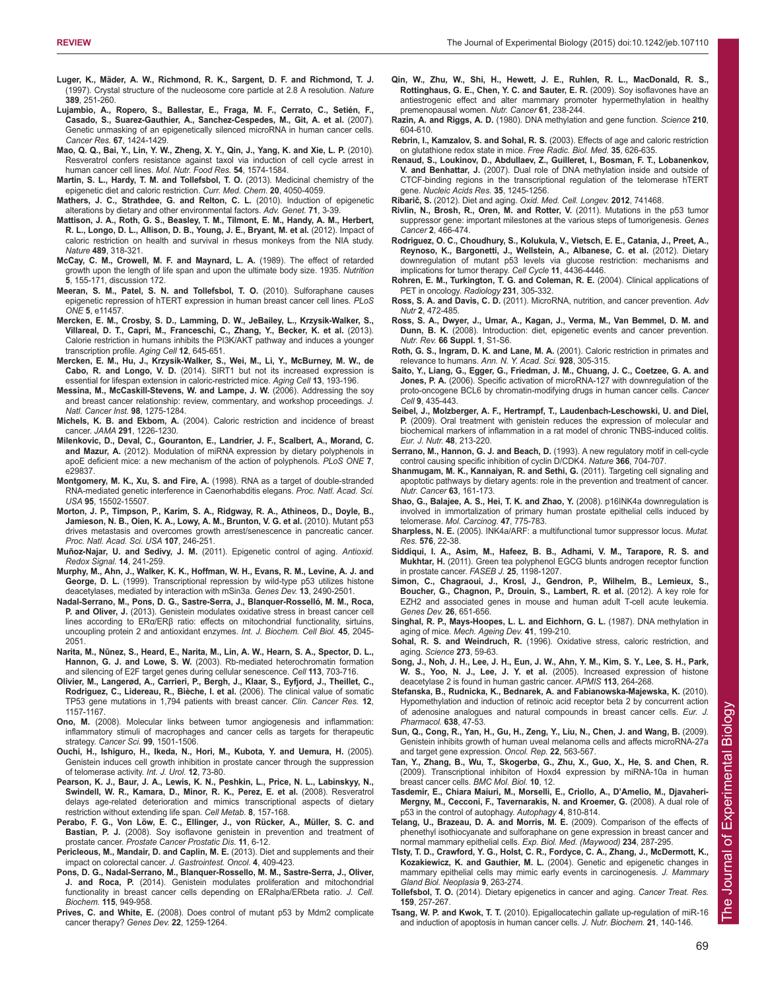- **Luger, K., Mäder, A. W., Richmond, R. K., Sargent, D. F. and Richmond, T. J.** (1997). Crystal structure of the nucleosome core particle at 2.8 A resolution. *Nature* **389**, 251-260.
- **Lujambio, A., Ropero, S., Ballestar, E., Fraga, M. F., Cerrato, C., Setién, F., Casado, S., Suarez-Gauthier, A., Sanchez-Cespedes, M., Git, A. et al.** (2007). Genetic unmasking of an epigenetically silenced microRNA in human cancer cells. *Cancer Res.* **67**, 1424-1429.
- **Mao, Q. Q., Bai, Y., Lin, Y. W., Zheng, X. Y., Qin, J., Yang, K. and Xie, L. P.** (2010). Resveratrol confers resistance against taxol via induction of cell cycle arrest in human cancer cell lines. *Mol. Nutr. Food Res.* **54**, 1574-1584.
- **Martin, S. L., Hardy, T. M. and Tollefsbol, T. O.** (2013). Medicinal chemistry of the epigenetic diet and caloric restriction. *Curr. Med. Chem.* **20**, 4050-4059.
- **Mathers, J. C., Strathdee, G. and Relton, C. L.** (2010). Induction of epigenetic alterations by dietary and other environmental factors. *Adv. Genet.* **71**, 3-39.
- **Mattison, J. A., Roth, G. S., Beasley, T. M., Tilmont, E. M., Handy, A. M., Herbert, R. L., Longo, D. L., Allison, D. B., Young, J. E., Bryant, M. et al.** (2012). Impact of caloric restriction on health and survival in rhesus monkeys from the NIA study. *Nature* **489**, 318-321.
- **McCay, C. M., Crowell, M. F. and Maynard, L. A.** (1989). The effect of retarded growth upon the length of life span and upon the ultimate body size. 1935. *Nutrition* **5**, 155-171, discussion 172.
- **Meeran, S. M., Patel, S. N. and Tollefsbol, T. O.** (2010). Sulforaphane causes epigenetic repression of hTERT expression in human breast cancer cell lines. *PLoS ONE* **5**, e11457.
- **Mercken, E. M., Crosby, S. D., Lamming, D. W., JeBailey, L., Krzysik-Walker, S., Villareal, D. T., Capri, M., Franceschi, C., Zhang, Y., Becker, K. et al.** (2013). Calorie restriction in humans inhibits the PI3K/AKT pathway and induces a younger transcription profile. *Aging Cell* **12**, 645-651.
- **Mercken, E. M., Hu, J., Krzysik-Walker, S., Wei, M., Li, Y., McBurney, M. W., de Cabo, R. and Longo, V. D.** (2014). SIRT1 but not its increased expression is essential for lifespan extension in caloric-restricted mice. *Aging Cell* **13**, 193-196.
- **Messina, M., McCaskill-Stevens, W. and Lampe, J. W.** (2006). Addressing the soy and breast cancer relationship: review, commentary, and workshop proceedings. *J. Natl. Cancer Inst.* **98**, 1275-1284.
- **Michels, K. B. and Ekbom, A.** (2004). Caloric restriction and incidence of breast cancer. *JAMA* **291**, 1226-1230.
- **Milenkovic, D., Deval, C., Gouranton, E., Landrier, J. F., Scalbert, A., Morand, C. and Mazur, A.** (2012). Modulation of miRNA expression by dietary polyphenols in apoE deficient mice: a new mechanism of the action of polyphenols. *PLoS ONE* **7**, e29837.
- **Montgomery, M. K., Xu, S. and Fire, A.** (1998). RNA as a target of double-stranded RNA-mediated genetic interference in Caenorhabditis elegans. *Proc. Natl. Acad. Sci. USA* **95**, 15502-15507.
- **Morton, J. P., Timpson, P., Karim, S. A., Ridgway, R. A., Athineos, D., Doyle, B., Jamieson, N. B., Oien, K. A., Lowy, A. M., Brunton, V. G. et al.** (2010). Mutant p53 drives metastasis and overcomes growth arrest/senescence in pancreatic cancer. *Proc. Natl. Acad. Sci. USA* **107**, 246-251.
- **Muñoz-Najar, U. and Sedivy, J. M.** (2011). Epigenetic control of aging. *Antioxid. Redox Signal.* **14**, 241-259.
- **Murphy, M., Ahn, J., Walker, K. K., Hoffman, W. H., Evans, R. M., Levine, A. J. and George, D. L.** (1999). Transcriptional repression by wild-type p53 utilizes histone deacetylases, mediated by interaction with mSin3a. *Genes Dev.* **13**, 2490-2501.
- **Nadal-Serrano, M., Pons, D. G., Sastre-Serra, J., Blanquer-Rosselló, M. M., Roca, P. and Oliver, J.** (2013). Genistein modulates oxidative stress in breast cancer cell lines according to ERα/ERβ ratio: effects on mitochondrial functionality, sirtuins, uncoupling protein 2 and antioxidant enzymes. *Int. J. Biochem. Cell Biol.* **45**, 2045- 2051.
- **Narita, M., Nũnez, S., Heard, E., Narita, M., Lin, A. W., Hearn, S. A., Spector, D. L., Hannon, G. J. and Lowe, S. W.** (2003). Rb-mediated heterochromatin formation and silencing of E2F target genes during cellular senescence. *Cell* **113**, 703-716.
- **Olivier, M., Langerød, A., Carrieri, P., Bergh, J., Klaar, S., Eyfjord, J., Theillet, C., Rodriguez, C., Lidereau, R., Bièche, I. et al.** (2006). The clinical value of somatic TP53 gene mutations in 1,794 patients with breast cancer. *Clin. Cancer Res.* **12**, 1157-1167.
- **Ono, M.** (2008). Molecular links between tumor angiogenesis and inflammation: inflammatory stimuli of macrophages and cancer cells as targets for therapeutic strategy. *Cancer Sci.* **99**, 1501-1506.
- **Ouchi, H., Ishiguro, H., Ikeda, N., Hori, M., Kubota, Y. and Uemura, H.** (2005). Genistein induces cell growth inhibition in prostate cancer through the suppression of telomerase activity. *Int. J. Urol.* **12**, 73-80.
- **Pearson, K. J., Baur, J. A., Lewis, K. N., Peshkin, L., Price, N. L., Labinskyy, N., Swindell, W. R., Kamara, D., Minor, R. K., Perez, E. et al.** (2008). Resveratrol delays age-related deterioration and mimics transcriptional aspects of dietary restriction without extending life span. *Cell Metab.* **8**, 157-168.
- **Perabo, F. G., Von Löw, E. C., Ellinger, J., von Rücker, A., Müller, S. C. and Bastian, P. J.** (2008). Soy isoflavone genistein in prevention and treatment of prostate cancer. *Prostate Cancer Prostatic Dis.* **11**, 6-12.
- **Pericleous, M., Mandair, D. and Caplin, M. E.** (2013). Diet and supplements and their impact on colorectal cancer. *J. Gastrointest. Oncol.* **4**, 409-423.
- **Pons, D. G., Nadal-Serrano, M., Blanquer-Rossello, M. M., Sastre-Serra, J., Oliver, J. and Roca, P.** (2014). Genistein modulates proliferation and mitochondrial functionality in breast cancer cells depending on ERalpha/ERbeta ratio. *J. Cell. Biochem.* **115**, 949-958.
- **Prives, C. and White, E.** (2008). Does control of mutant p53 by Mdm2 complicate cancer therapy? *Genes Dev.* **22**, 1259-1264.
- **Qin, W., Zhu, W., Shi, H., Hewett, J. E., Ruhlen, R. L., MacDonald, R. S., Rottinghaus, G. E., Chen, Y. C. and Sauter, E. R.** (2009). Soy isoflavones have an antiestrogenic effect and alter mammary promoter hypermethylation in healthy premenopausal women. *Nutr. Cancer* **61**, 238-244.
- **Razin, A. and Riggs, A. D.** (1980). DNA methylation and gene function. *Science* **210**, 604-610.
- **Rebrin, I., Kamzalov, S. and Sohal, R. S.** (2003). Effects of age and caloric restriction on glutathione redox state in mice. *Free Radic. Biol. Med.* **35**, 626-635.
- **Renaud, S., Loukinov, D., Abdullaev, Z., Guilleret, I., Bosman, F. T., Lobanenkov, V. and Benhattar, J.** (2007). Dual role of DNA methylation inside and outside of CTCF-binding regions in the transcriptional regulation of the telomerase hTERT gene. *Nucleic Acids Res.* **35**, 1245-1256.
- **Ribarič, S.** (2012). Diet and aging. *Oxid. Med. Cell. Longev.* **2012**, 741468.
- **Rivlin, N., Brosh, R., Oren, M. and Rotter, V.** (2011). Mutations in the p53 tumor suppressor gene: important milestones at the various steps of tumorigenesis. *Genes Cancer* **2**, 466-474.
- **Rodriguez, O. C., Choudhury, S., Kolukula, V., Vietsch, E. E., Catania, J., Preet, A., Reynoso, K., Bargonetti, J., Wellstein, A., Albanese, C. et al.** (2012). Dietary downregulation of mutant p53 levels via glucose restriction: mechanisms and implications for tumor therapy. *Cell Cycle* **11**, 4436-4446.
- **Rohren, E. M., Turkington, T. G. and Coleman, R. E.** (2004). Clinical applications of PET in oncology. *Radiology* **231**, 305-332.
- **Ross, S. A. and Davis, C. D.** (2011). MicroRNA, nutrition, and cancer prevention. *Adv Nutr* **2**, 472-485.
- **Ross, S. A., Dwyer, J., Umar, A., Kagan, J., Verma, M., Van Bemmel, D. M. and Dunn, B. K.** (2008). Introduction: diet, epigenetic events and cancer prevention. *Nutr. Rev.* **66 Suppl. 1**, S1-S6.
- **Roth, G. S., Ingram, D. K. and Lane, M. A.** (2001). Caloric restriction in primates and relevance to humans. *Ann. N. Y. Acad. Sci.* **928**, 305-315.
- **Saito, Y., Liang, G., Egger, G., Friedman, J. M., Chuang, J. C., Coetzee, G. A. and Jones, P. A.** (2006). Specific activation of microRNA-127 with downregulation of the proto-oncogene BCL6 by chromatin-modifying drugs in human cancer cells. *Cancer Cell* **9**, 435-443.
- **Seibel, J., Molzberger, A. F., Hertrampf, T., Laudenbach-Leschowski, U. and Diel, P.** (2009). Oral treatment with genistein reduces the expression of molecular and biochemical markers of inflammation in a rat model of chronic TNBS-induced colitis. *Eur. J. Nutr.* **48**, 213-220.
- **Serrano, M., Hannon, G. J. and Beach, D.** (1993). A new regulatory motif in cell-cycle control causing specific inhibition of cyclin D/CDK4. *Nature* **366**, 704-707.
- **Shanmugam, M. K., Kannaiyan, R. and Sethi, G.** (2011). Targeting cell signaling and apoptotic pathways by dietary agents: role in the prevention and treatment of cancer. *Nutr. Cancer* **63**, 161-173.
- **Shao, G., Balajee, A. S., Hei, T. K. and Zhao, Y.** (2008). p16INK4a downregulation is involved in immortalization of primary human prostate epithelial cells induced by telomerase. *Mol. Carcinog.* **47**, 775-783.
- **Sharpless, N. E.** (2005). INK4a/ARF: a multifunctional tumor suppressor locus. *Mutat. Res.* **576**, 22-38.
- **Siddiqui, I. A., Asim, M., Hafeez, B. B., Adhami, V. M., Tarapore, R. S. and Mukhtar, H.** (2011). Green tea polyphenol EGCG blunts androgen receptor function in prostate cancer. *FASEB J.* **25**, 1198-1207.
- **Simon, C., Chagraoui, J., Krosl, J., Gendron, P., Wilhelm, B., Lemieux, S., Boucher, G., Chagnon, P., Drouin, S., Lambert, R. et al.** (2012). A key role for EZH2 and associated genes in mouse and human adult T-cell acute leukemia. *Genes Dev.* **26**, 651-656.
- **Singhal, R. P., Mays-Hoopes, L. L. and Eichhorn, G. L.** (1987). DNA methylation in aging of mice. *Mech. Ageing Dev.* **41**, 199-210.
- **Sohal, R. S. and Weindruch, R.** (1996). Oxidative stress, caloric restriction, and aging. *Science* **273**, 59-63.
- **Song, J., Noh, J. H., Lee, J. H., Eun, J. W., Ahn, Y. M., Kim, S. Y., Lee, S. H., Park, W. S., Yoo, N. J., Lee, J. Y. et al.** (2005). Increased expression of histone deacetylase 2 is found in human gastric cancer. *APMIS* **113**, 264-268.
- **Stefanska, B., Rudnicka, K., Bednarek, A. and Fabianowska-Majewska, K.** (2010). Hypomethylation and induction of retinoic acid receptor beta 2 by concurrent action of adenosine analogues and natural compounds in breast cancer cells. *Eur. J. Pharmacol.* **638**, 47-53.
- **Sun, Q., Cong, R., Yan, H., Gu, H., Zeng, Y., Liu, N., Chen, J. and Wang, B.** (2009). Genistein inhibits growth of human uveal melanoma cells and affects microRNA-27a and target gene expression. *Oncol. Rep.* **22**, 563-567.
- **Tan, Y., Zhang, B., Wu, T., Skogerbø, G., Zhu, X., Guo, X., He, S. and Chen, R.** (2009). Transcriptional inhibiton of Hoxd4 expression by miRNA-10a in human breast cancer cells. *BMC Mol. Biol.* **10**, 12.
- **Tasdemir, E., Chiara Maiuri, M., Morselli, E., Criollo, A., D'Amelio, M., Djavaheri-Mergny, M., Cecconi, F., Tavernarakis, N. and Kroemer, G.** (2008). A dual role of p53 in the control of autophagy. *Autophagy* **4**, 810-814.
- **Telang, U., Brazeau, D. A. and Morris, M. E.** (2009). Comparison of the effects of phenethyl isothiocyanate and sulforaphane on gene expression in breast cancer and normal mammary epithelial cells. *Exp. Biol. Med. (Maywood)* **234**, 287-295.
- **Tlsty, T. D., Crawford, Y. G., Holst, C. R., Fordyce, C. A., Zhang, J., McDermott, K., Kozakiewicz, K. and Gauthier, M. L.** (2004). Genetic and epigenetic changes in mammary epithelial cells may mimic early events in carcinogenesis. *J. Mammary Gland Biol. Neoplasia* **9**, 263-274.
- **Tollefsbol, T. O.** (2014). Dietary epigenetics in cancer and aging. *Cancer Treat. Res.* **159**, 257-267.
- **Tsang, W. P. and Kwok, T. T.** (2010). Epigallocatechin gallate up-regulation of miR-16 and induction of apoptosis in human cancer cells. *J. Nutr. Biochem.* **21**, 140-146.